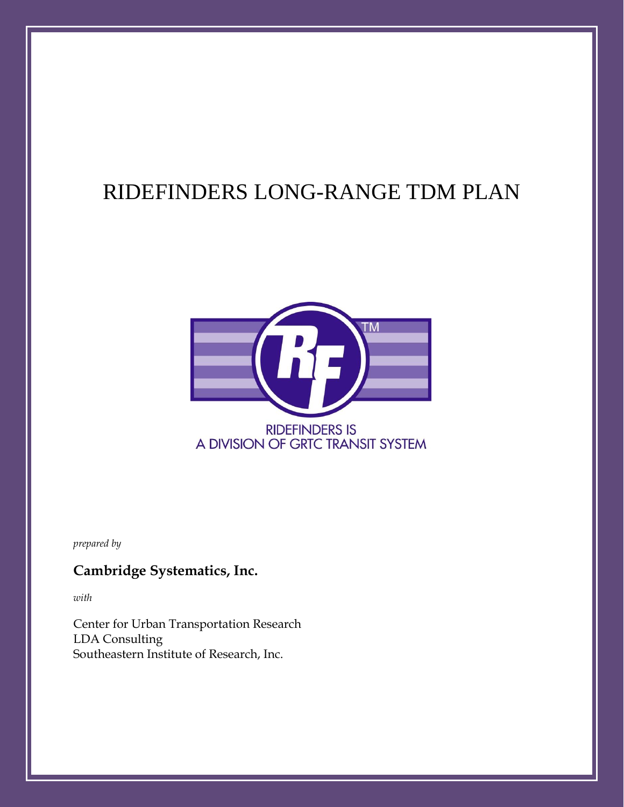# RIDEFINDERS LONG-RANGE TDM PLAN



*prepared by*

# **Cambridge Systematics, Inc.**

*with*

Center for Urban Transportation Research LDA Consulting Southeastern Institute of Research, Inc.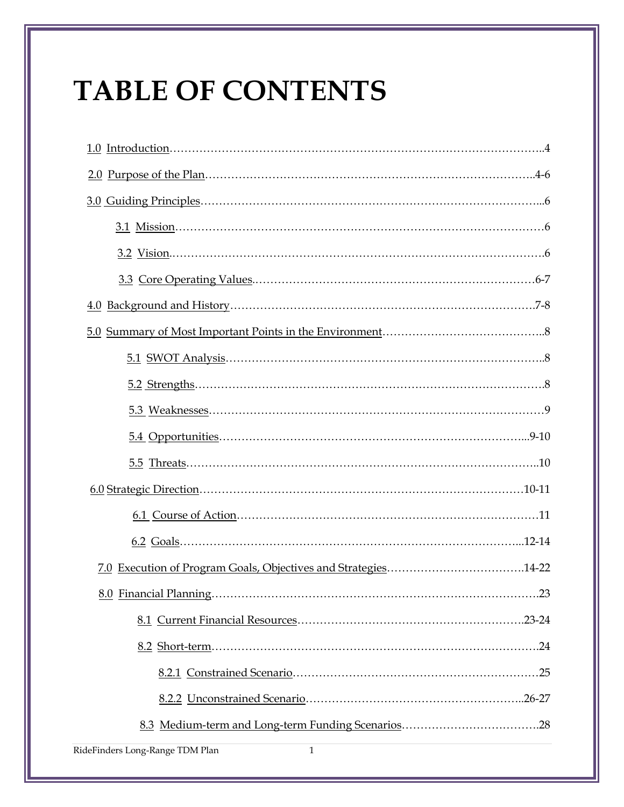# **TABLE OF CONTENTS**

| RideFinders Long-Range TDM Plan<br>$\mathbf{1}$ |
|-------------------------------------------------|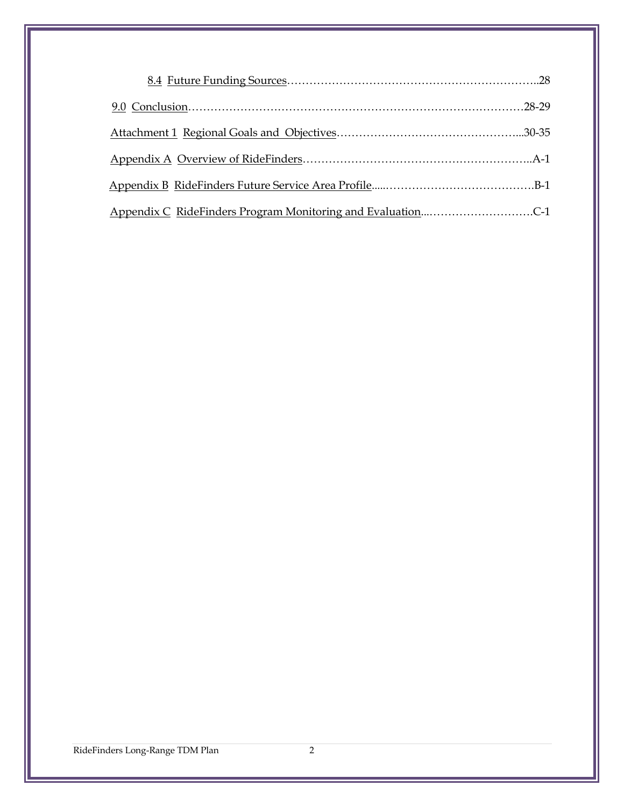| Appendix C RideFinders Program Monitoring and EvaluationC-1 |  |
|-------------------------------------------------------------|--|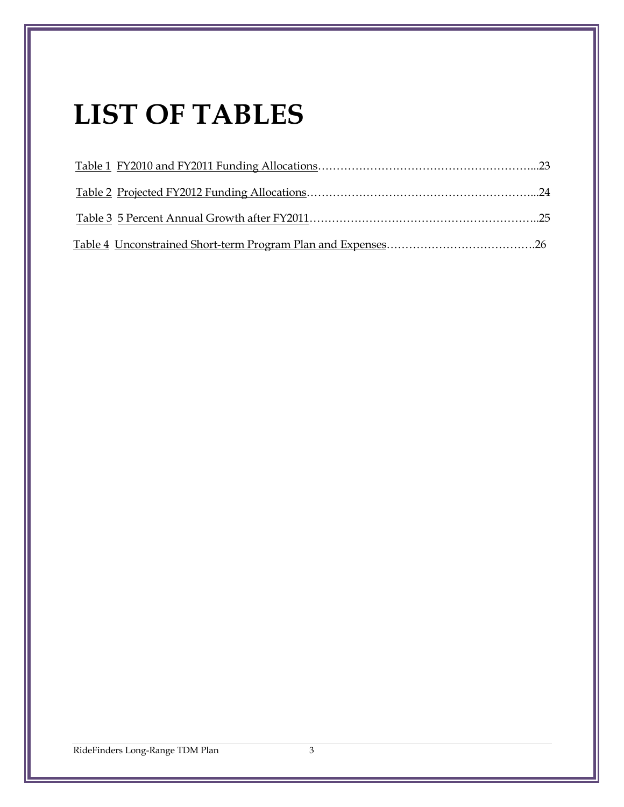# **LIST OF TABLES**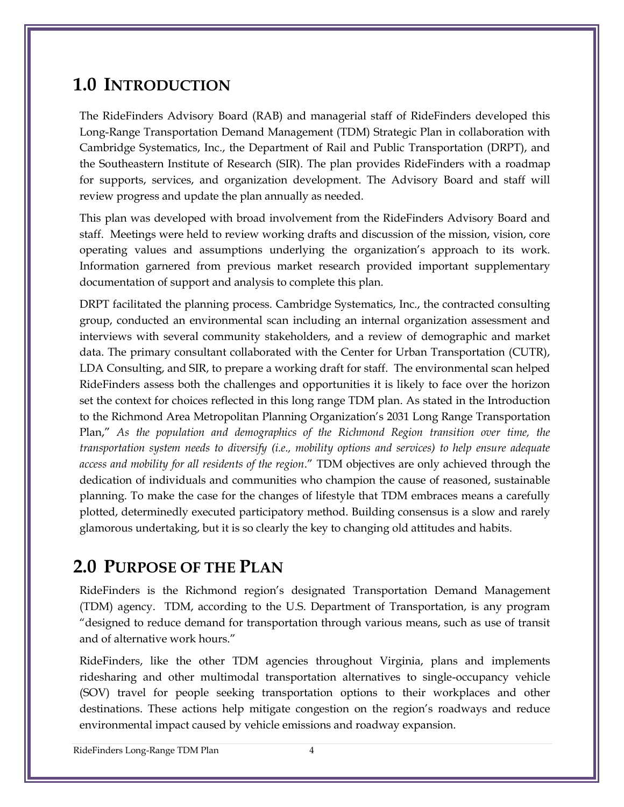# **1.0 INTRODUCTION**

The RideFinders Advisory Board (RAB) and managerial staff of RideFinders developed this Long-Range Transportation Demand Management (TDM) Strategic Plan in collaboration with Cambridge Systematics, Inc., the Department of Rail and Public Transportation (DRPT), and the Southeastern Institute of Research (SIR). The plan provides RideFinders with a roadmap for supports, services, and organization development. The Advisory Board and staff will review progress and update the plan annually as needed.

This plan was developed with broad involvement from the RideFinders Advisory Board and staff. Meetings were held to review working drafts and discussion of the mission, vision, core operating values and assumptions underlying the organization's approach to its work. Information garnered from previous market research provided important supplementary documentation of support and analysis to complete this plan.

DRPT facilitated the planning process. Cambridge Systematics, Inc., the contracted consulting group, conducted an environmental scan including an internal organization assessment and interviews with several community stakeholders, and a review of demographic and market data. The primary consultant collaborated with the Center for Urban Transportation (CUTR), LDA Consulting, and SIR, to prepare a working draft for staff. The environmental scan helped RideFinders assess both the challenges and opportunities it is likely to face over the horizon set the context for choices reflected in this long range TDM plan. As stated in the Introduction to the Richmond Area Metropolitan Planning Organization's 2031 Long Range Transportation Plan," *As the population and demographics of the Richmond Region transition over time, the transportation system needs to diversify (i.e., mobility options and services) to help ensure adequate access and mobility for all residents of the region*." TDM objectives are only achieved through the dedication of individuals and communities who champion the cause of reasoned, sustainable planning. To make the case for the changes of lifestyle that TDM embraces means a carefully plotted, determinedly executed participatory method. Building consensus is a slow and rarely glamorous undertaking, but it is so clearly the key to changing old attitudes and habits.

# **2.0 PURPOSE OF THE PLAN**

RideFinders is the Richmond region's designated Transportation Demand Management (TDM) agency. TDM, according to the U.S. Department of Transportation, is any program "designed to reduce demand for transportation through various means, such as use of transit and of alternative work hours."

RideFinders, like the other TDM agencies throughout Virginia, plans and implements ridesharing and other multimodal transportation alternatives to single-occupancy vehicle (SOV) travel for people seeking transportation options to their workplaces and other destinations. These actions help mitigate congestion on the region's roadways and reduce environmental impact caused by vehicle emissions and roadway expansion.

RideFinders Long-Range TDM Plan 4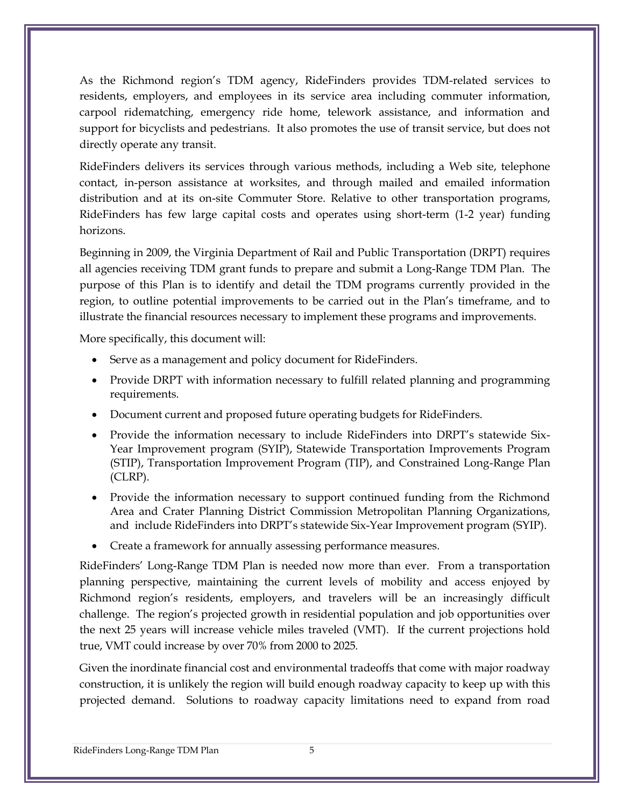As the Richmond region's TDM agency, RideFinders provides TDM-related services to residents, employers, and employees in its service area including commuter information, carpool ridematching, emergency ride home, telework assistance, and information and support for bicyclists and pedestrians. It also promotes the use of transit service, but does not directly operate any transit.

RideFinders delivers its services through various methods, including a Web site, telephone contact, in-person assistance at worksites, and through mailed and emailed information distribution and at its on-site Commuter Store. Relative to other transportation programs, RideFinders has few large capital costs and operates using short-term (1-2 year) funding horizons.

Beginning in 2009, the Virginia Department of Rail and Public Transportation (DRPT) requires all agencies receiving TDM grant funds to prepare and submit a Long-Range TDM Plan. The purpose of this Plan is to identify and detail the TDM programs currently provided in the region, to outline potential improvements to be carried out in the Plan's timeframe, and to illustrate the financial resources necessary to implement these programs and improvements.

More specifically, this document will:

- Serve as a management and policy document for RideFinders.
- Provide DRPT with information necessary to fulfill related planning and programming requirements.
- Document current and proposed future operating budgets for RideFinders.
- Provide the information necessary to include RideFinders into DRPT's statewide Six-Year Improvement program (SYIP), Statewide Transportation Improvements Program (STIP), Transportation Improvement Program (TIP), and Constrained Long-Range Plan (CLRP).
- Provide the information necessary to support continued funding from the Richmond Area and Crater Planning District Commission Metropolitan Planning Organizations, and include RideFinders into DRPT's statewide Six-Year Improvement program (SYIP).
- Create a framework for annually assessing performance measures.

RideFinders' Long-Range TDM Plan is needed now more than ever. From a transportation planning perspective, maintaining the current levels of mobility and access enjoyed by Richmond region's residents, employers, and travelers will be an increasingly difficult challenge. The region's projected growth in residential population and job opportunities over the next 25 years will increase vehicle miles traveled (VMT). If the current projections hold true, VMT could increase by over 70% from 2000 to 2025.

Given the inordinate financial cost and environmental tradeoffs that come with major roadway construction, it is unlikely the region will build enough roadway capacity to keep up with this projected demand. Solutions to roadway capacity limitations need to expand from road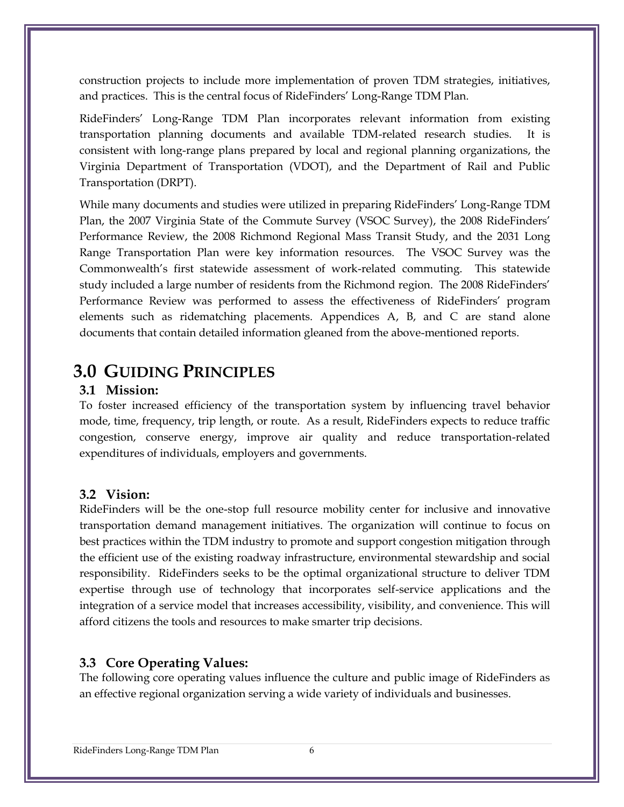construction projects to include more implementation of proven TDM strategies, initiatives, and practices. This is the central focus of RideFinders' Long-Range TDM Plan.

RideFinders' Long-Range TDM Plan incorporates relevant information from existing transportation planning documents and available TDM-related research studies. It is consistent with long-range plans prepared by local and regional planning organizations, the Virginia Department of Transportation (VDOT), and the Department of Rail and Public Transportation (DRPT).

While many documents and studies were utilized in preparing RideFinders' Long-Range TDM Plan, the 2007 Virginia State of the Commute Survey (VSOC Survey), the 2008 RideFinders' Performance Review, the 2008 Richmond Regional Mass Transit Study, and the 2031 Long Range Transportation Plan were key information resources. The VSOC Survey was the Commonwealth's first statewide assessment of work-related commuting. This statewide study included a large number of residents from the Richmond region. The 2008 RideFinders' Performance Review was performed to assess the effectiveness of RideFinders' program elements such as ridematching placements. Appendices A, B, and C are stand alone documents that contain detailed information gleaned from the above-mentioned reports.

# **3.0 GUIDING PRINCIPLES**

#### **3.1 Mission:**

To foster increased efficiency of the transportation system by influencing travel behavior mode, time, frequency, trip length, or route. As a result, RideFinders expects to reduce traffic congestion, conserve energy, improve air quality and reduce transportation-related expenditures of individuals, employers and governments.

#### **3.2 Vision:**

RideFinders will be the one-stop full resource mobility center for inclusive and innovative transportation demand management initiatives. The organization will continue to focus on best practices within the TDM industry to promote and support congestion mitigation through the efficient use of the existing roadway infrastructure, environmental stewardship and social responsibility. RideFinders seeks to be the optimal organizational structure to deliver TDM expertise through use of technology that incorporates self-service applications and the integration of a service model that increases accessibility, visibility, and convenience. This will afford citizens the tools and resources to make smarter trip decisions.

#### **3.3 Core Operating Values:**

The following core operating values influence the culture and public image of RideFinders as an effective regional organization serving a wide variety of individuals and businesses.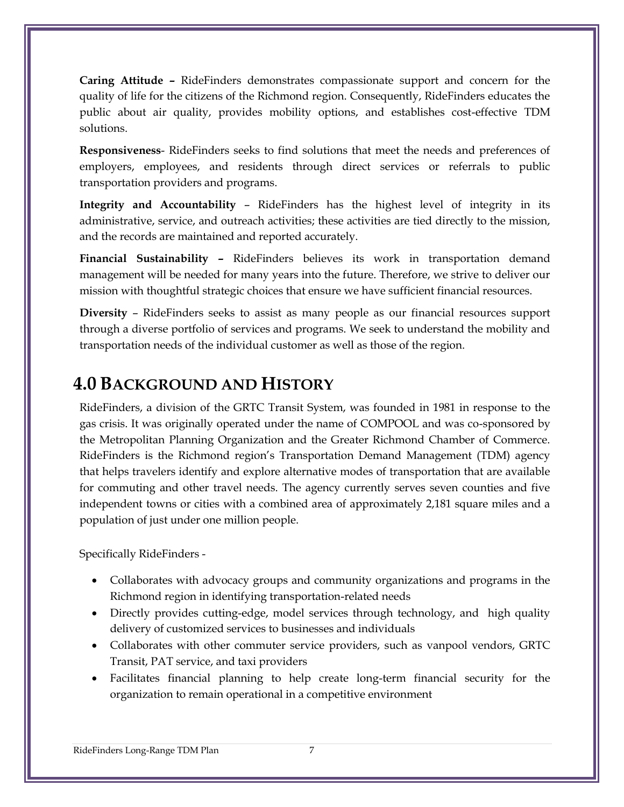**Caring Attitude –** RideFinders demonstrates compassionate support and concern for the quality of life for the citizens of the Richmond region. Consequently, RideFinders educates the public about air quality, provides mobility options, and establishes cost-effective TDM solutions.

**Responsiveness**- RideFinders seeks to find solutions that meet the needs and preferences of employers, employees, and residents through direct services or referrals to public transportation providers and programs.

**Integrity and Accountability** – RideFinders has the highest level of integrity in its administrative, service, and outreach activities; these activities are tied directly to the mission, and the records are maintained and reported accurately.

**Financial Sustainability –** RideFinders believes its work in transportation demand management will be needed for many years into the future. Therefore, we strive to deliver our mission with thoughtful strategic choices that ensure we have sufficient financial resources.

**Diversity** – RideFinders seeks to assist as many people as our financial resources support through a diverse portfolio of services and programs. We seek to understand the mobility and transportation needs of the individual customer as well as those of the region.

# **4.0 BACKGROUND AND HISTORY**

RideFinders, a division of the GRTC Transit System, was founded in 1981 in response to the gas crisis. It was originally operated under the name of COMPOOL and was co-sponsored by the Metropolitan Planning Organization and the Greater Richmond Chamber of Commerce. RideFinders is the Richmond region's Transportation Demand Management (TDM) agency that helps travelers identify and explore alternative modes of transportation that are available for commuting and other travel needs. The agency currently serves seven counties and five independent towns or cities with a combined area of approximately 2,181 square miles and a population of just under one million people.

Specifically RideFinders -

- Collaborates with advocacy groups and community organizations and programs in the Richmond region in identifying transportation-related needs
- Directly provides cutting-edge, model services through technology, and high quality delivery of customized services to businesses and individuals
- Collaborates with other commuter service providers, such as vanpool vendors, GRTC Transit, PAT service, and taxi providers
- Facilitates financial planning to help create long-term financial security for the organization to remain operational in a competitive environment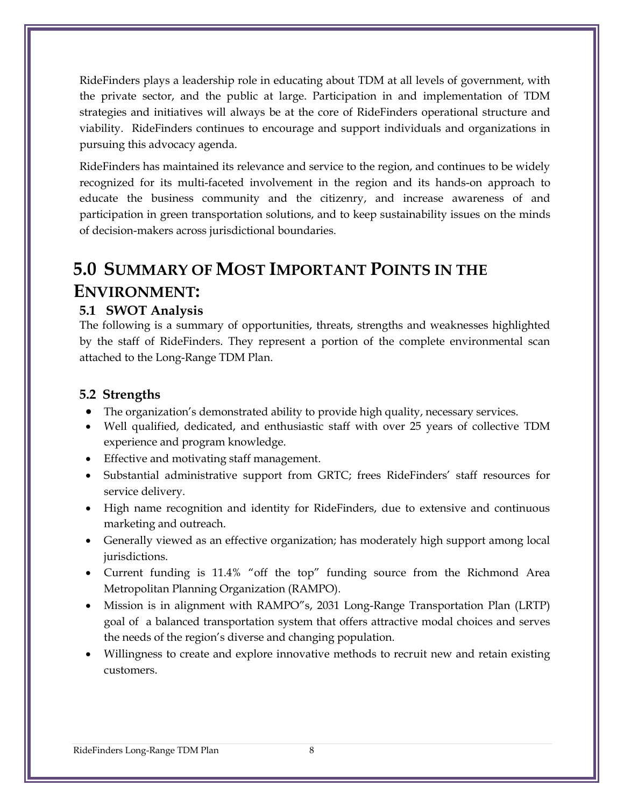RideFinders plays a leadership role in educating about TDM at all levels of government, with the private sector, and the public at large. Participation in and implementation of TDM strategies and initiatives will always be at the core of RideFinders operational structure and viability. RideFinders continues to encourage and support individuals and organizations in pursuing this advocacy agenda.

RideFinders has maintained its relevance and service to the region, and continues to be widely recognized for its multi-faceted involvement in the region and its hands-on approach to educate the business community and the citizenry, and increase awareness of and participation in green transportation solutions, and to keep sustainability issues on the minds of decision-makers across jurisdictional boundaries.

# **5.0 SUMMARY OF MOST IMPORTANT POINTS IN THE ENVIRONMENT:**

#### **5.1 SWOT Analysis**

The following is a summary of opportunities, threats, strengths and weaknesses highlighted by the staff of RideFinders. They represent a portion of the complete environmental scan attached to the Long-Range TDM Plan.

#### **5.2 Strengths**

- The organization's demonstrated ability to provide high quality, necessary services.
- Well qualified, dedicated, and enthusiastic staff with over 25 years of collective TDM experience and program knowledge.
- Effective and motivating staff management.
- Substantial administrative support from GRTC; frees RideFinders' staff resources for service delivery.
- High name recognition and identity for RideFinders, due to extensive and continuous marketing and outreach.
- Generally viewed as an effective organization; has moderately high support among local jurisdictions.
- Current funding is 11.4% "off the top" funding source from the Richmond Area Metropolitan Planning Organization (RAMPO).
- Mission is in alignment with RAMPO"s, 2031 Long-Range Transportation Plan (LRTP) goal of a balanced transportation system that offers attractive modal choices and serves the needs of the region's diverse and changing population.
- Willingness to create and explore innovative methods to recruit new and retain existing customers.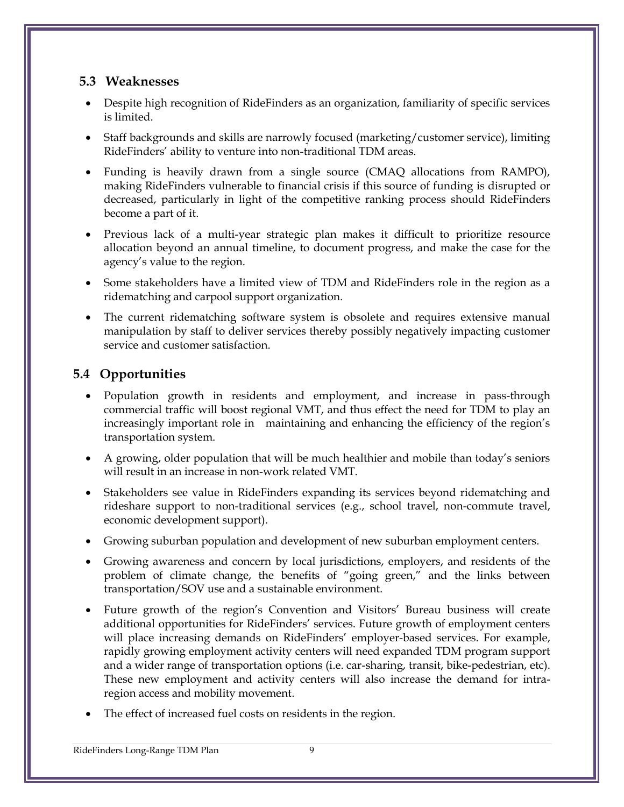## **5.3 Weaknesses**

- Despite high recognition of RideFinders as an organization, familiarity of specific services is limited.
- Staff backgrounds and skills are narrowly focused (marketing/customer service), limiting RideFinders' ability to venture into non-traditional TDM areas.
- Funding is heavily drawn from a single source (CMAQ allocations from RAMPO), making RideFinders vulnerable to financial crisis if this source of funding is disrupted or decreased, particularly in light of the competitive ranking process should RideFinders become a part of it.
- Previous lack of a multi-year strategic plan makes it difficult to prioritize resource allocation beyond an annual timeline, to document progress, and make the case for the agency's value to the region.
- Some stakeholders have a limited view of TDM and RideFinders role in the region as a ridematching and carpool support organization.
- The current ridematching software system is obsolete and requires extensive manual manipulation by staff to deliver services thereby possibly negatively impacting customer service and customer satisfaction.

# **5.4 Opportunities**

- Population growth in residents and employment, and increase in pass-through commercial traffic will boost regional VMT, and thus effect the need for TDM to play an increasingly important role in maintaining and enhancing the efficiency of the region's transportation system.
- A growing, older population that will be much healthier and mobile than today's seniors will result in an increase in non-work related VMT.
- Stakeholders see value in RideFinders expanding its services beyond ridematching and rideshare support to non-traditional services (e.g., school travel, non-commute travel, economic development support).
- Growing suburban population and development of new suburban employment centers.
- Growing awareness and concern by local jurisdictions, employers, and residents of the problem of climate change, the benefits of "going green," and the links between transportation/SOV use and a sustainable environment.
- Future growth of the region's Convention and Visitors' Bureau business will create additional opportunities for RideFinders' services. Future growth of employment centers will place increasing demands on RideFinders' employer-based services. For example, rapidly growing employment activity centers will need expanded TDM program support and a wider range of transportation options (i.e. car-sharing, transit, bike-pedestrian, etc). These new employment and activity centers will also increase the demand for intraregion access and mobility movement.
- The effect of increased fuel costs on residents in the region.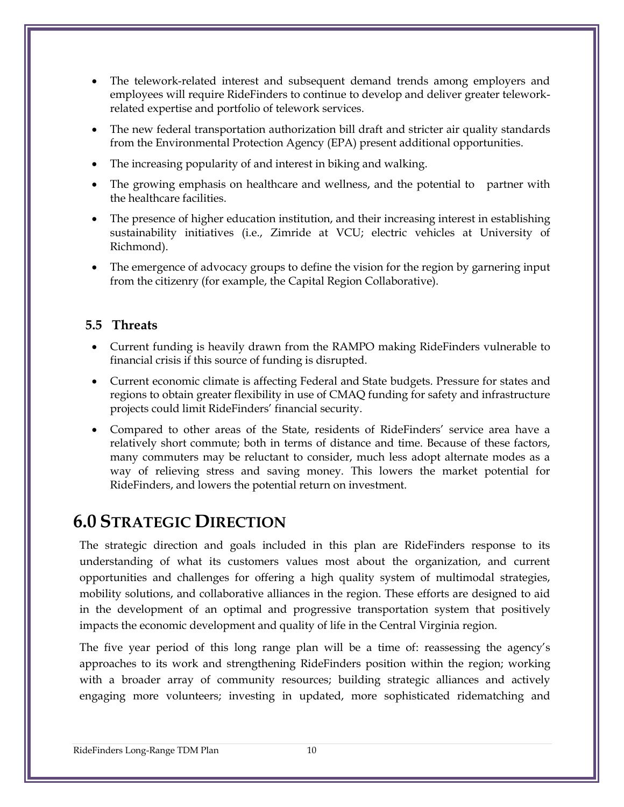- The telework-related interest and subsequent demand trends among employers and employees will require RideFinders to continue to develop and deliver greater teleworkrelated expertise and portfolio of telework services.
- The new federal transportation authorization bill draft and stricter air quality standards from the Environmental Protection Agency (EPA) present additional opportunities.
- The increasing popularity of and interest in biking and walking.
- The growing emphasis on healthcare and wellness, and the potential to partner with the healthcare facilities.
- The presence of higher education institution, and their increasing interest in establishing sustainability initiatives (i.e., Zimride at VCU; electric vehicles at University of Richmond).
- The emergence of advocacy groups to define the vision for the region by garnering input from the citizenry (for example, the Capital Region Collaborative).

#### **5.5 Threats**

- Current funding is heavily drawn from the RAMPO making RideFinders vulnerable to financial crisis if this source of funding is disrupted.
- Current economic climate is affecting Federal and State budgets. Pressure for states and regions to obtain greater flexibility in use of CMAQ funding for safety and infrastructure projects could limit RideFinders' financial security.
- Compared to other areas of the State, residents of RideFinders' service area have a relatively short commute; both in terms of distance and time. Because of these factors, many commuters may be reluctant to consider, much less adopt alternate modes as a way of relieving stress and saving money. This lowers the market potential for RideFinders, and lowers the potential return on investment.

# **6.0 STRATEGIC DIRECTION**

The strategic direction and goals included in this plan are RideFinders response to its understanding of what its customers values most about the organization, and current opportunities and challenges for offering a high quality system of multimodal strategies, mobility solutions, and collaborative alliances in the region. These efforts are designed to aid in the development of an optimal and progressive transportation system that positively impacts the economic development and quality of life in the Central Virginia region.

The five year period of this long range plan will be a time of: reassessing the agency's approaches to its work and strengthening RideFinders position within the region; working with a broader array of community resources; building strategic alliances and actively engaging more volunteers; investing in updated, more sophisticated ridematching and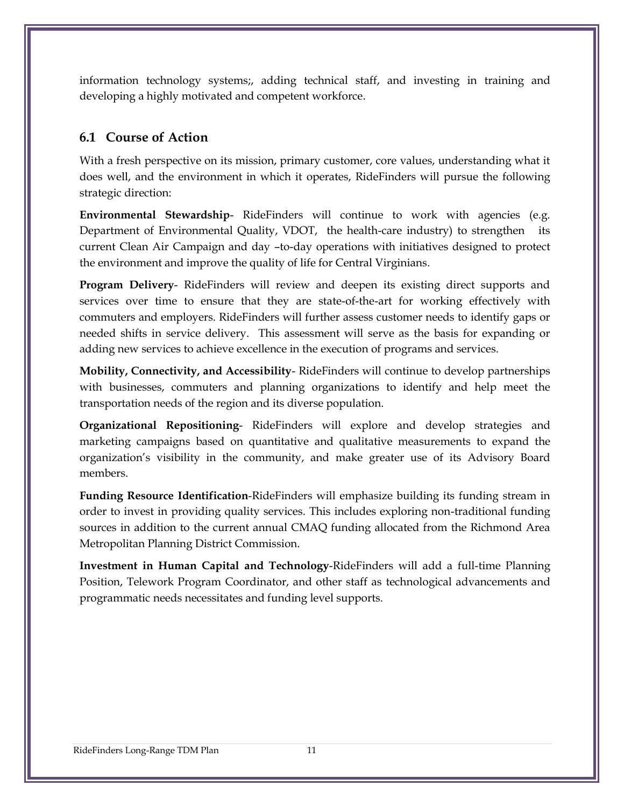information technology systems;, adding technical staff, and investing in training and developing a highly motivated and competent workforce.

## **6.1 Course of Action**

With a fresh perspective on its mission, primary customer, core values, understanding what it does well, and the environment in which it operates, RideFinders will pursue the following strategic direction:

**Environmental Stewardship-** RideFinders will continue to work with agencies (e.g. Department of Environmental Quality, VDOT, the health-care industry) to strengthen its current Clean Air Campaign and day –to-day operations with initiatives designed to protect the environment and improve the quality of life for Central Virginians.

**Program Delivery**- RideFinders will review and deepen its existing direct supports and services over time to ensure that they are state-of-the-art for working effectively with commuters and employers. RideFinders will further assess customer needs to identify gaps or needed shifts in service delivery. This assessment will serve as the basis for expanding or adding new services to achieve excellence in the execution of programs and services.

**Mobility, Connectivity, and Accessibility**- RideFinders will continue to develop partnerships with businesses, commuters and planning organizations to identify and help meet the transportation needs of the region and its diverse population.

**Organizational Repositioning**- RideFinders will explore and develop strategies and marketing campaigns based on quantitative and qualitative measurements to expand the organization's visibility in the community, and make greater use of its Advisory Board members.

**Funding Resource Identification**-RideFinders will emphasize building its funding stream in order to invest in providing quality services. This includes exploring non-traditional funding sources in addition to the current annual CMAQ funding allocated from the Richmond Area Metropolitan Planning District Commission.

**Investment in Human Capital and Technology**-RideFinders will add a full-time Planning Position, Telework Program Coordinator, and other staff as technological advancements and programmatic needs necessitates and funding level supports.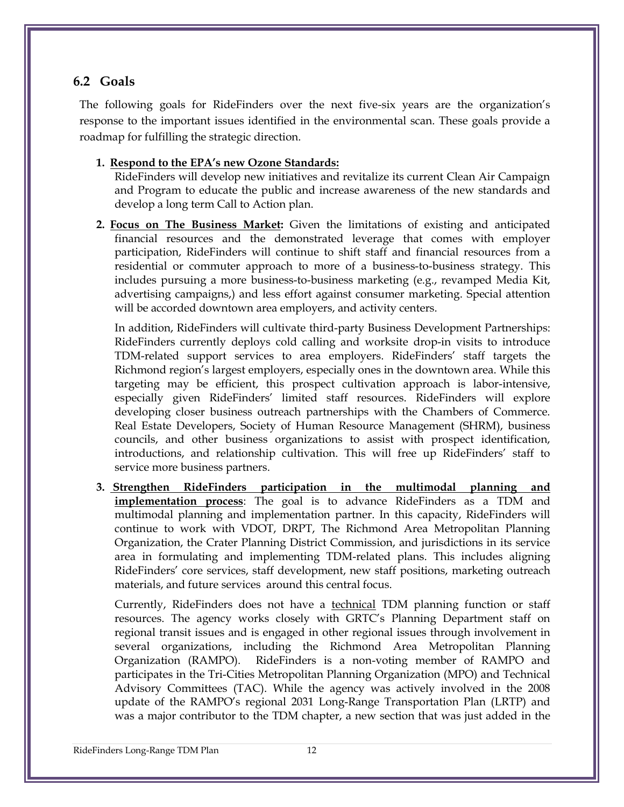#### **6.2 Goals**

The following goals for RideFinders over the next five-six years are the organization's response to the important issues identified in the environmental scan. These goals provide a roadmap for fulfilling the strategic direction.

#### **1. Respond to the EPA's new Ozone Standards:**

RideFinders will develop new initiatives and revitalize its current Clean Air Campaign and Program to educate the public and increase awareness of the new standards and develop a long term Call to Action plan.

**2. Focus on The Business Market:** Given the limitations of existing and anticipated financial resources and the demonstrated leverage that comes with employer participation, RideFinders will continue to shift staff and financial resources from a residential or commuter approach to more of a business-to-business strategy. This includes pursuing a more business-to-business marketing (e.g., revamped Media Kit, advertising campaigns,) and less effort against consumer marketing. Special attention will be accorded downtown area employers, and activity centers.

In addition, RideFinders will cultivate third-party Business Development Partnerships: RideFinders currently deploys cold calling and worksite drop-in visits to introduce TDM-related support services to area employers. RideFinders' staff targets the Richmond region's largest employers, especially ones in the downtown area. While this targeting may be efficient, this prospect cultivation approach is labor-intensive, especially given RideFinders' limited staff resources. RideFinders will explore developing closer business outreach partnerships with the Chambers of Commerce. Real Estate Developers, Society of Human Resource Management (SHRM), business councils, and other business organizations to assist with prospect identification, introductions, and relationship cultivation. This will free up RideFinders' staff to service more business partners.

**3. Strengthen RideFinders participation in the multimodal planning and implementation process**: The goal is to advance RideFinders as a TDM and multimodal planning and implementation partner. In this capacity, RideFinders will continue to work with VDOT, DRPT, The Richmond Area Metropolitan Planning Organization, the Crater Planning District Commission, and jurisdictions in its service area in formulating and implementing TDM-related plans. This includes aligning RideFinders' core services, staff development, new staff positions, marketing outreach materials, and future services around this central focus.

Currently, RideFinders does not have a technical TDM planning function or staff resources. The agency works closely with GRTC's Planning Department staff on regional transit issues and is engaged in other regional issues through involvement in several organizations, including the Richmond Area Metropolitan Planning Organization (RAMPO). RideFinders is a non-voting member of RAMPO and participates in the Tri-Cities Metropolitan Planning Organization (MPO) and Technical Advisory Committees (TAC). While the agency was actively involved in the 2008 update of the RAMPO's regional 2031 Long-Range Transportation Plan (LRTP) and was a major contributor to the TDM chapter, a new section that was just added in the

RideFinders Long-Range TDM Plan 12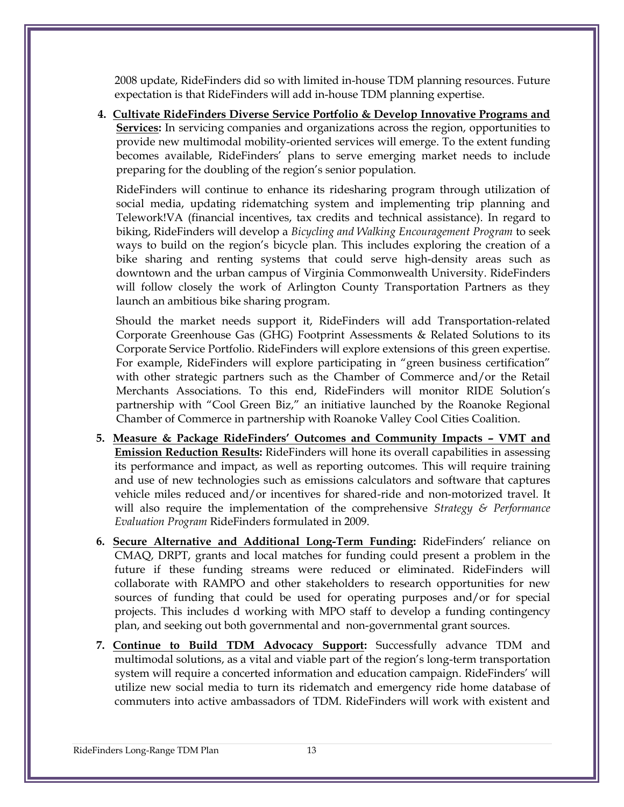2008 update, RideFinders did so with limited in-house TDM planning resources. Future expectation is that RideFinders will add in-house TDM planning expertise.

**4. Cultivate RideFinders Diverse Service Portfolio & Develop Innovative Programs and Services:** In servicing companies and organizations across the region, opportunities to provide new multimodal mobility-oriented services will emerge. To the extent funding becomes available, RideFinders' plans to serve emerging market needs to include preparing for the doubling of the region's senior population.

RideFinders will continue to enhance its ridesharing program through utilization of social media, updating ridematching system and implementing trip planning and Telework!VA (financial incentives, tax credits and technical assistance). In regard to biking, RideFinders will develop a *Bicycling and Walking Encouragement Program* to seek ways to build on the region's bicycle plan. This includes exploring the creation of a bike sharing and renting systems that could serve high-density areas such as downtown and the urban campus of Virginia Commonwealth University. RideFinders will follow closely the work of Arlington County Transportation Partners as they launch an ambitious bike sharing program.

Should the market needs support it, RideFinders will add Transportation-related Corporate Greenhouse Gas (GHG) Footprint Assessments & Related Solutions to its Corporate Service Portfolio. RideFinders will explore extensions of this green expertise. For example, RideFinders will explore participating in "green business certification" with other strategic partners such as the Chamber of Commerce and/or the Retail Merchants Associations. To this end, RideFinders will monitor RIDE Solution's partnership with "Cool Green Biz," an initiative launched by the Roanoke Regional Chamber of Commerce in partnership with Roanoke Valley Cool Cities Coalition.

- **5. Measure & Package RideFinders' Outcomes and Community Impacts – VMT and Emission Reduction Results:** RideFinders will hone its overall capabilities in assessing its performance and impact, as well as reporting outcomes. This will require training and use of new technologies such as emissions calculators and software that captures vehicle miles reduced and/or incentives for shared-ride and non-motorized travel. It will also require the implementation of the comprehensive *Strategy & Performance Evaluation Program* RideFinders formulated in 2009.
- **6. Secure Alternative and Additional Long-Term Funding:** RideFinders' reliance on CMAQ, DRPT, grants and local matches for funding could present a problem in the future if these funding streams were reduced or eliminated. RideFinders will collaborate with RAMPO and other stakeholders to research opportunities for new sources of funding that could be used for operating purposes and/or for special projects. This includes d working with MPO staff to develop a funding contingency plan, and seeking out both governmental and non-governmental grant sources.
- **7. Continue to Build TDM Advocacy Support:** Successfully advance TDM and multimodal solutions, as a vital and viable part of the region's long-term transportation system will require a concerted information and education campaign. RideFinders' will utilize new social media to turn its ridematch and emergency ride home database of commuters into active ambassadors of TDM. RideFinders will work with existent and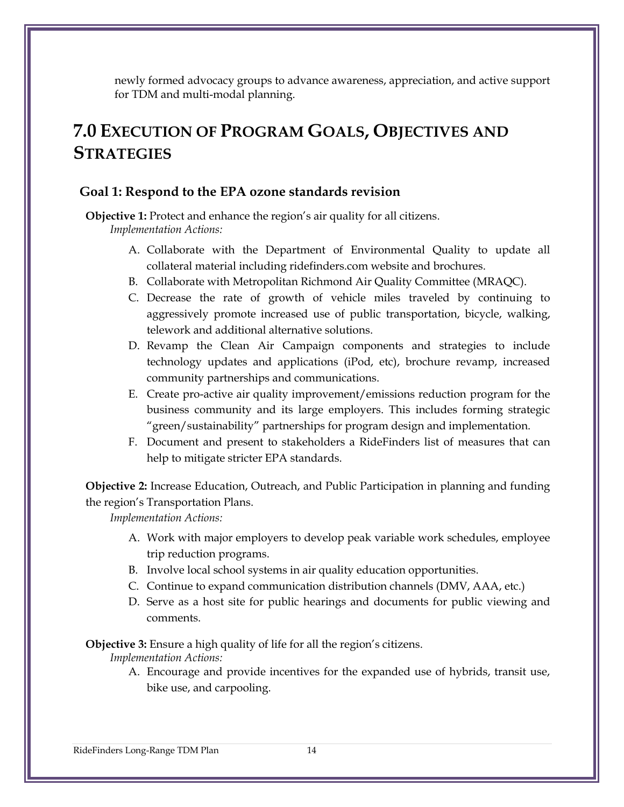newly formed advocacy groups to advance awareness, appreciation, and active support for TDM and multi-modal planning.

# **7.0 EXECUTION OF PROGRAM GOALS, OBJECTIVES AND STRATEGIES**

#### **Goal 1: Respond to the EPA ozone standards revision**

**Objective 1:** Protect and enhance the region's air quality for all citizens. *Implementation Actions:*

- A. Collaborate with the Department of Environmental Quality to update all collateral material including ridefinders.com website and brochures.
- B. Collaborate with Metropolitan Richmond Air Quality Committee (MRAQC).
- C. Decrease the rate of growth of vehicle miles traveled by continuing to aggressively promote increased use of public transportation, bicycle, walking, telework and additional alternative solutions.
- D. Revamp the Clean Air Campaign components and strategies to include technology updates and applications (iPod, etc), brochure revamp, increased community partnerships and communications.
- E. Create pro-active air quality improvement/emissions reduction program for the business community and its large employers. This includes forming strategic "green/sustainability" partnerships for program design and implementation.
- F. Document and present to stakeholders a RideFinders list of measures that can help to mitigate stricter EPA standards.

**Objective 2:** Increase Education, Outreach, and Public Participation in planning and funding the region's Transportation Plans.

*Implementation Actions:*

- A. Work with major employers to develop peak variable work schedules, employee trip reduction programs.
- B. Involve local school systems in air quality education opportunities.
- C. Continue to expand communication distribution channels (DMV, AAA, etc.)
- D. Serve as a host site for public hearings and documents for public viewing and comments.

**Objective 3:** Ensure a high quality of life for all the region's citizens.

*Implementation Actions:*

A. Encourage and provide incentives for the expanded use of hybrids, transit use, bike use, and carpooling.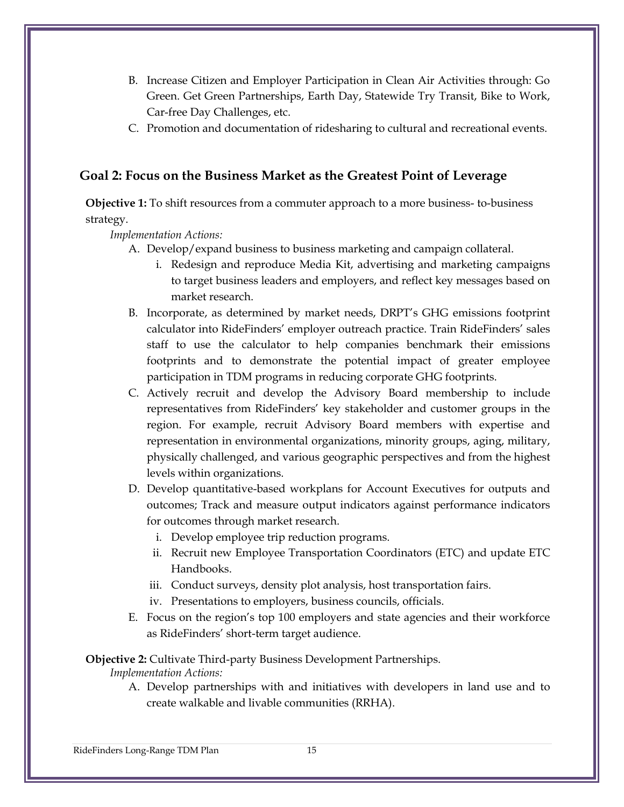- B. Increase Citizen and Employer Participation in Clean Air Activities through: Go Green. Get Green Partnerships, Earth Day, Statewide Try Transit, Bike to Work, Car-free Day Challenges, etc.
- C. Promotion and documentation of ridesharing to cultural and recreational events.

## **Goal 2: Focus on the Business Market as the Greatest Point of Leverage**

**Objective 1:** To shift resources from a commuter approach to a more business- to-business strategy.

*Implementation Actions:*

- A. Develop/expand business to business marketing and campaign collateral.
	- i. Redesign and reproduce Media Kit, advertising and marketing campaigns to target business leaders and employers, and reflect key messages based on market research.
- B. Incorporate, as determined by market needs, DRPT's GHG emissions footprint calculator into RideFinders' employer outreach practice. Train RideFinders' sales staff to use the calculator to help companies benchmark their emissions footprints and to demonstrate the potential impact of greater employee participation in TDM programs in reducing corporate GHG footprints.
- C. Actively recruit and develop the Advisory Board membership to include representatives from RideFinders' key stakeholder and customer groups in the region. For example, recruit Advisory Board members with expertise and representation in environmental organizations, minority groups, aging, military, physically challenged, and various geographic perspectives and from the highest levels within organizations.
- D. Develop quantitative-based workplans for Account Executives for outputs and outcomes; Track and measure output indicators against performance indicators for outcomes through market research.
	- i. Develop employee trip reduction programs.
	- ii. Recruit new Employee Transportation Coordinators (ETC) and update ETC Handbooks.
	- iii. Conduct surveys, density plot analysis, host transportation fairs.
	- iv. Presentations to employers, business councils, officials.
- E. Focus on the region's top 100 employers and state agencies and their workforce as RideFinders' short-term target audience.

**Objective 2:** Cultivate Third-party Business Development Partnerships.

*Implementation Actions:*

A. Develop partnerships with and initiatives with developers in land use and to create walkable and livable communities (RRHA).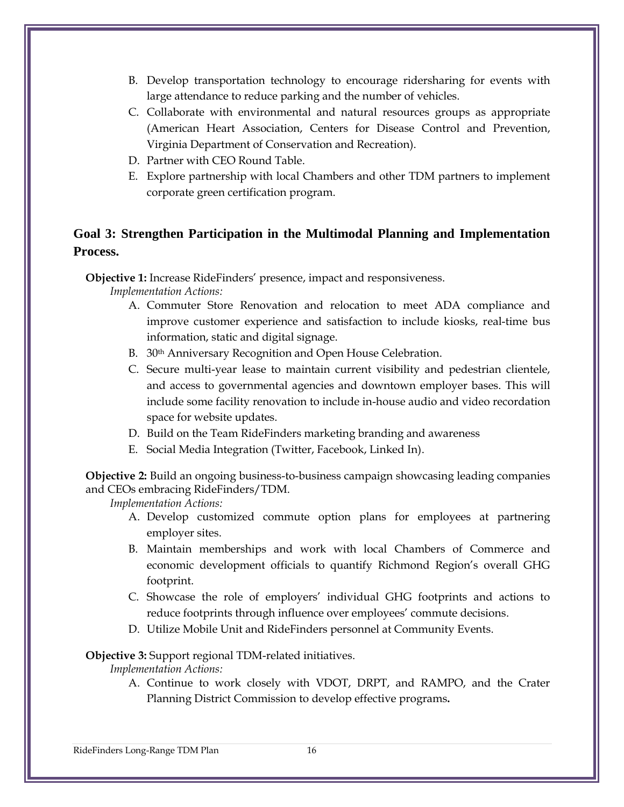- B. Develop transportation technology to encourage ridersharing for events with large attendance to reduce parking and the number of vehicles.
- C. Collaborate with environmental and natural resources groups as appropriate (American Heart Association, Centers for Disease Control and Prevention, Virginia Department of Conservation and Recreation).
- D. Partner with CEO Round Table.
- E. Explore partnership with local Chambers and other TDM partners to implement corporate green certification program.

## **Goal 3: Strengthen Participation in the Multimodal Planning and Implementation Process.**

**Objective 1:** Increase RideFinders' presence, impact and responsiveness.

*Implementation Actions:*

- A. Commuter Store Renovation and relocation to meet ADA compliance and improve customer experience and satisfaction to include kiosks, real-time bus information, static and digital signage.
- B. 30<sup>th</sup> Anniversary Recognition and Open House Celebration.
- C. Secure multi-year lease to maintain current visibility and pedestrian clientele, and access to governmental agencies and downtown employer bases. This will include some facility renovation to include in-house audio and video recordation space for website updates.
- D. Build on the Team RideFinders marketing branding and awareness
- E. Social Media Integration (Twitter, Facebook, Linked In).

**Objective 2:** Build an ongoing business-to-business campaign showcasing leading companies and CEOs embracing RideFinders/TDM.

*Implementation Actions:*

- A. Develop customized commute option plans for employees at partnering employer sites.
- B. Maintain memberships and work with local Chambers of Commerce and economic development officials to quantify Richmond Region's overall GHG footprint.
- C. Showcase the role of employers' individual GHG footprints and actions to reduce footprints through influence over employees' commute decisions.
- D. Utilize Mobile Unit and RideFinders personnel at Community Events.

**Objective 3:** Support regional TDM-related initiatives.

*Implementation Actions:*

A. Continue to work closely with VDOT, DRPT, and RAMPO, and the Crater Planning District Commission to develop effective programs**.**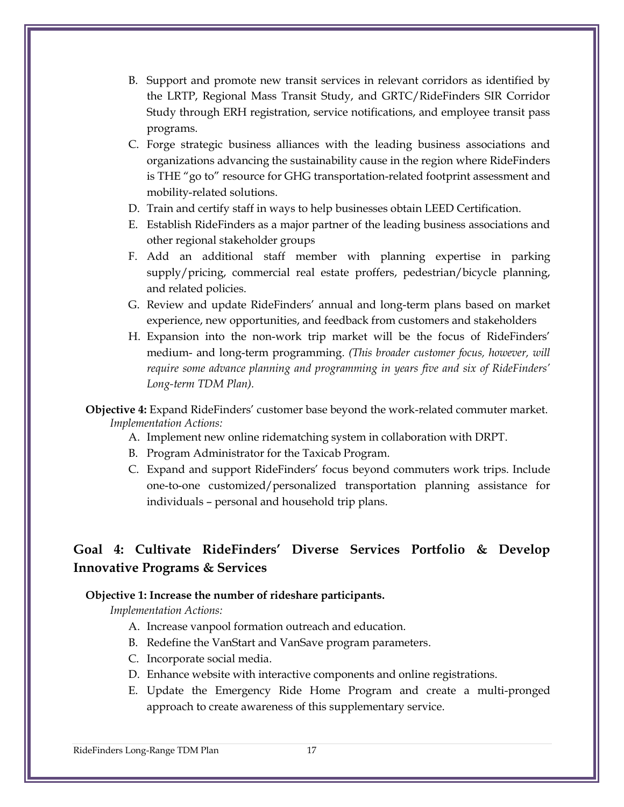- B. Support and promote new transit services in relevant corridors as identified by the LRTP, Regional Mass Transit Study, and GRTC/RideFinders SIR Corridor Study through ERH registration, service notifications, and employee transit pass programs.
- C. Forge strategic business alliances with the leading business associations and organizations advancing the sustainability cause in the region where RideFinders is THE "go to" resource for GHG transportation-related footprint assessment and mobility-related solutions.
- D. Train and certify staff in ways to help businesses obtain LEED Certification.
- E. Establish RideFinders as a major partner of the leading business associations and other regional stakeholder groups
- F. Add an additional staff member with planning expertise in parking supply/pricing, commercial real estate proffers, pedestrian/bicycle planning, and related policies.
- G. Review and update RideFinders' annual and long-term plans based on market experience, new opportunities, and feedback from customers and stakeholders
- H. Expansion into the non-work trip market will be the focus of RideFinders' medium- and long-term programming. *(This broader customer focus, however, will require some advance planning and programming in years five and six of RideFinders' Long-term TDM Plan).*
- **Objective 4:** Expand RideFinders' customer base beyond the work-related commuter market. *Implementation Actions:*
	- A. Implement new online ridematching system in collaboration with DRPT.
	- B. Program Administrator for the Taxicab Program.
	- C. Expand and support RideFinders' focus beyond commuters work trips. Include one-to-one customized/personalized transportation planning assistance for individuals – personal and household trip plans.

# **Goal 4: Cultivate RideFinders' Diverse Services Portfolio & Develop Innovative Programs & Services**

#### **Objective 1: Increase the number of rideshare participants.**

- A. Increase vanpool formation outreach and education.
- B. Redefine the VanStart and VanSave program parameters.
- C. Incorporate social media.
- D. Enhance website with interactive components and online registrations.
- E. Update the Emergency Ride Home Program and create a multi-pronged approach to create awareness of this supplementary service.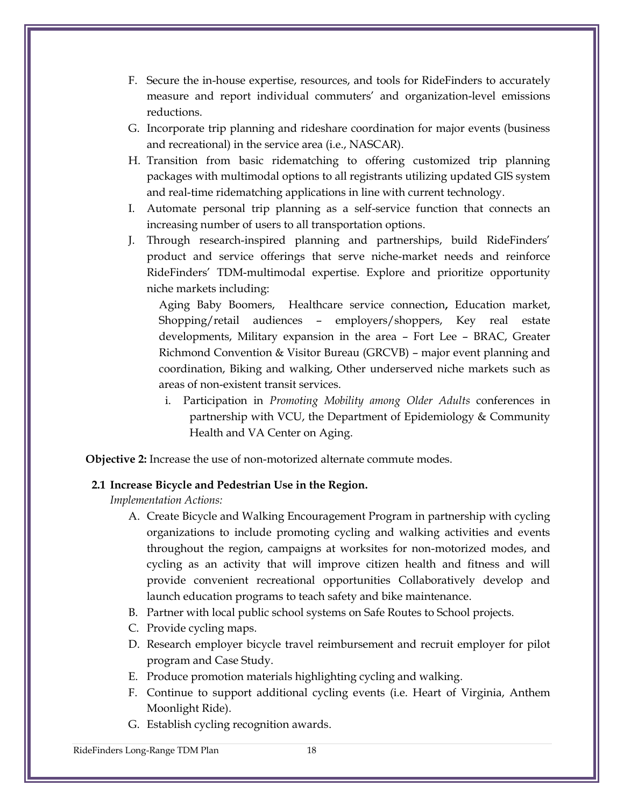- F. Secure the in-house expertise, resources, and tools for RideFinders to accurately measure and report individual commuters' and organization-level emissions reductions.
- G. Incorporate trip planning and rideshare coordination for major events (business and recreational) in the service area (i.e., NASCAR).
- H. Transition from basic ridematching to offering customized trip planning packages with multimodal options to all registrants utilizing updated GIS system and real-time ridematching applications in line with current technology.
- I. Automate personal trip planning as a self-service function that connects an increasing number of users to all transportation options.
- J. Through research-inspired planning and partnerships, build RideFinders' product and service offerings that serve niche-market needs and reinforce RideFinders' TDM-multimodal expertise. Explore and prioritize opportunity niche markets including:

Aging Baby Boomers, Healthcare service connection**,** Education market, Shopping/retail audiences – employers/shoppers, Key real estate developments, Military expansion in the area – Fort Lee – BRAC, Greater Richmond Convention & Visitor Bureau (GRCVB) – major event planning and coordination, Biking and walking, Other underserved niche markets such as areas of non-existent transit services.

i. Participation in *Promoting Mobility among Older Adults* conferences in partnership with VCU, the Department of Epidemiology & Community Health and VA Center on Aging.

**Objective 2:** Increase the use of non-motorized alternate commute modes.

#### **2.1 Increase Bicycle and Pedestrian Use in the Region.**

*Implementation Actions:*

- A. Create Bicycle and Walking Encouragement Program in partnership with cycling organizations to include promoting cycling and walking activities and events throughout the region, campaigns at worksites for non-motorized modes, and cycling as an activity that will improve citizen health and fitness and will provide convenient recreational opportunities Collaboratively develop and launch education programs to teach safety and bike maintenance.
- B. Partner with local public school systems on Safe Routes to School projects.
- C. Provide cycling maps.
- D. Research employer bicycle travel reimbursement and recruit employer for pilot program and Case Study.
- E. Produce promotion materials highlighting cycling and walking.
- F. Continue to support additional cycling events (i.e. Heart of Virginia, Anthem Moonlight Ride).
- G. Establish cycling recognition awards.

RideFinders Long-Range TDM Plan 18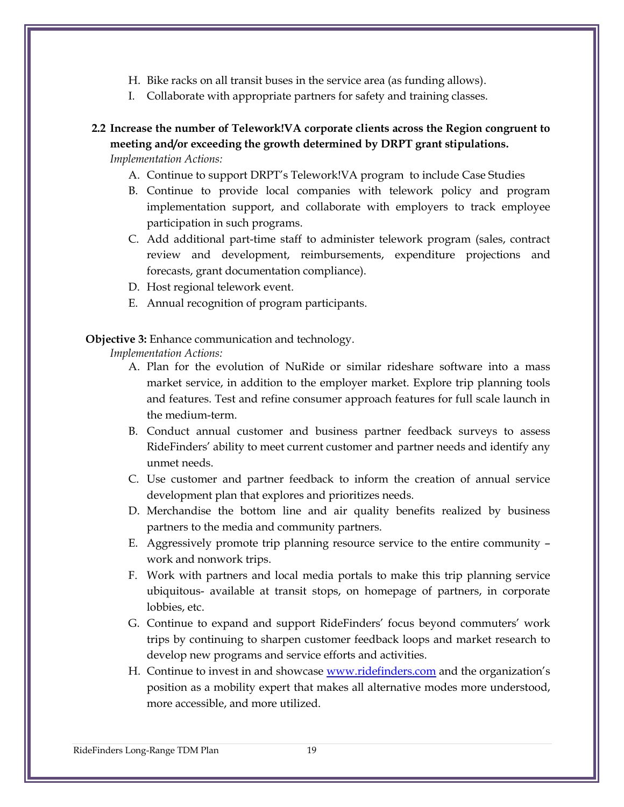- H. Bike racks on all transit buses in the service area (as funding allows).
- I. Collaborate with appropriate partners for safety and training classes.

## **2.2 Increase the number of Telework!VA corporate clients across the Region congruent to meeting and/or exceeding the growth determined by DRPT grant stipulations.**

*Implementation Actions:*

- A. Continue to support DRPT's Telework!VA program to include Case Studies
- B. Continue to provide local companies with telework policy and program implementation support, and collaborate with employers to track employee participation in such programs.
- C. Add additional part-time staff to administer telework program (sales, contract review and development, reimbursements, expenditure projections and forecasts, grant documentation compliance).
- D. Host regional telework event.
- E. Annual recognition of program participants.

**Objective 3:** Enhance communication and technology.

- A. Plan for the evolution of NuRide or similar rideshare software into a mass market service, in addition to the employer market. Explore trip planning tools and features. Test and refine consumer approach features for full scale launch in the medium-term.
- B. Conduct annual customer and business partner feedback surveys to assess RideFinders' ability to meet current customer and partner needs and identify any unmet needs.
- C. Use customer and partner feedback to inform the creation of annual service development plan that explores and prioritizes needs.
- D. Merchandise the bottom line and air quality benefits realized by business partners to the media and community partners.
- E. Aggressively promote trip planning resource service to the entire community work and nonwork trips.
- F. Work with partners and local media portals to make this trip planning service ubiquitous- available at transit stops, on homepage of partners, in corporate lobbies, etc.
- G. Continue to expand and support RideFinders' focus beyond commuters' work trips by continuing to sharpen customer feedback loops and market research to develop new programs and service efforts and activities.
- H. Continue to invest in and showcase [www.ridefinders.com](http://www.ridefinders.com/) and the organization's position as a mobility expert that makes all alternative modes more understood, more accessible, and more utilized.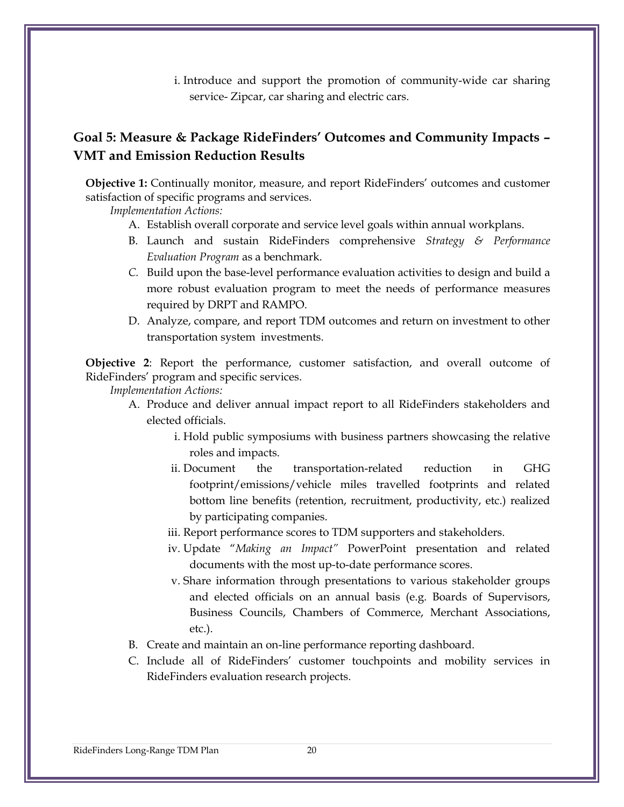i. Introduce and support the promotion of community-wide car sharing service- Zipcar, car sharing and electric cars.

## **Goal 5: Measure & Package RideFinders' Outcomes and Community Impacts – VMT and Emission Reduction Results**

**Objective 1:** Continually monitor, measure, and report RideFinders' outcomes and customer satisfaction of specific programs and services.

*Implementation Actions:*

- A. Establish overall corporate and service level goals within annual workplans.
- B. Launch and sustain RideFinders comprehensive *Strategy & Performance Evaluation Program* as a benchmark.
- *C.* Build upon the base-level performance evaluation activities to design and build a more robust evaluation program to meet the needs of performance measures required by DRPT and RAMPO.
- D. Analyze, compare, and report TDM outcomes and return on investment to other transportation system investments.

**Objective 2**: Report the performance, customer satisfaction, and overall outcome of RideFinders' program and specific services.

- A. Produce and deliver annual impact report to all RideFinders stakeholders and elected officials.
	- i. Hold public symposiums with business partners showcasing the relative roles and impacts.
	- ii. Document the transportation-related reduction in GHG footprint/emissions/vehicle miles travelled footprints and related bottom line benefits (retention, recruitment, productivity, etc.) realized by participating companies.
	- iii. Report performance scores to TDM supporters and stakeholders.
	- iv. Update "*Making an Impact"* PowerPoint presentation and related documents with the most up-to-date performance scores.
	- v. Share information through presentations to various stakeholder groups and elected officials on an annual basis (e.g. Boards of Supervisors, Business Councils, Chambers of Commerce, Merchant Associations, etc.).
- B. Create and maintain an on-line performance reporting dashboard.
- C. Include all of RideFinders' customer touchpoints and mobility services in RideFinders evaluation research projects.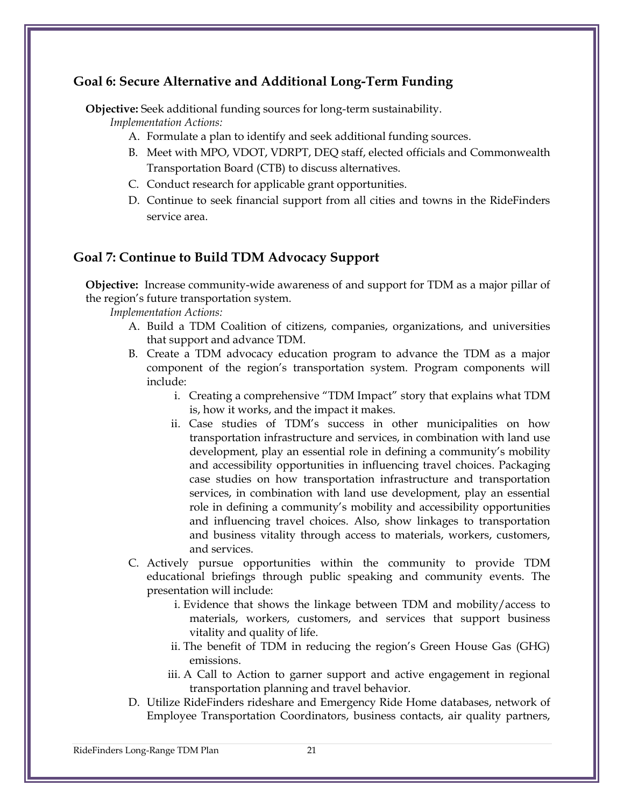#### **Goal 6: Secure Alternative and Additional Long-Term Funding**

**Objective:** Seek additional funding sources for long-term sustainability.

*Implementation Actions:* 

- A. Formulate a plan to identify and seek additional funding sources.
- B. Meet with MPO, VDOT, VDRPT, DEQ staff, elected officials and Commonwealth Transportation Board (CTB) to discuss alternatives.
- C. Conduct research for applicable grant opportunities.
- D. Continue to seek financial support from all cities and towns in the RideFinders service area.

## **Goal 7: Continue to Build TDM Advocacy Support**

**Objective:** Increase community-wide awareness of and support for TDM as a major pillar of the region's future transportation system.

- A. Build a TDM Coalition of citizens, companies, organizations, and universities that support and advance TDM.
- B. Create a TDM advocacy education program to advance the TDM as a major component of the region's transportation system. Program components will include:
	- i. Creating a comprehensive "TDM Impact" story that explains what TDM is, how it works, and the impact it makes.
	- ii. Case studies of TDM's success in other municipalities on how transportation infrastructure and services, in combination with land use development, play an essential role in defining a community's mobility and accessibility opportunities in influencing travel choices. Packaging case studies on how transportation infrastructure and transportation services, in combination with land use development, play an essential role in defining a community's mobility and accessibility opportunities and influencing travel choices. Also, show linkages to transportation and business vitality through access to materials, workers, customers, and services.
- C. Actively pursue opportunities within the community to provide TDM educational briefings through public speaking and community events. The presentation will include:
	- i. Evidence that shows the linkage between TDM and mobility/access to materials, workers, customers, and services that support business vitality and quality of life.
	- ii. The benefit of TDM in reducing the region's Green House Gas (GHG) emissions.
	- iii. A Call to Action to garner support and active engagement in regional transportation planning and travel behavior.
- D. Utilize RideFinders rideshare and Emergency Ride Home databases, network of Employee Transportation Coordinators, business contacts, air quality partners,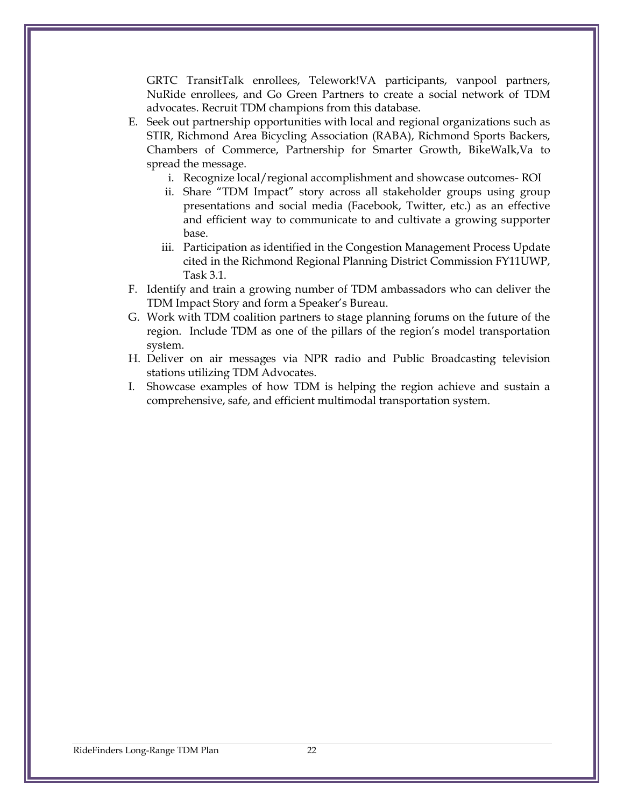GRTC TransitTalk enrollees, Telework!VA participants, vanpool partners, NuRide enrollees, and Go Green Partners to create a social network of TDM advocates. Recruit TDM champions from this database.

- E. Seek out partnership opportunities with local and regional organizations such as STIR, Richmond Area Bicycling Association (RABA), Richmond Sports Backers, Chambers of Commerce, Partnership for Smarter Growth, BikeWalk,Va to spread the message.
	- i. Recognize local/regional accomplishment and showcase outcomes- ROI
	- ii. Share "TDM Impact" story across all stakeholder groups using group presentations and social media (Facebook, Twitter, etc.) as an effective and efficient way to communicate to and cultivate a growing supporter base.
	- iii. Participation as identified in the Congestion Management Process Update cited in the Richmond Regional Planning District Commission FY11UWP, Task 3.1.
- F. Identify and train a growing number of TDM ambassadors who can deliver the TDM Impact Story and form a Speaker's Bureau.
- G. Work with TDM coalition partners to stage planning forums on the future of the region. Include TDM as one of the pillars of the region's model transportation system.
- H. Deliver on air messages via NPR radio and Public Broadcasting television stations utilizing TDM Advocates.
- I. Showcase examples of how TDM is helping the region achieve and sustain a comprehensive, safe, and efficient multimodal transportation system.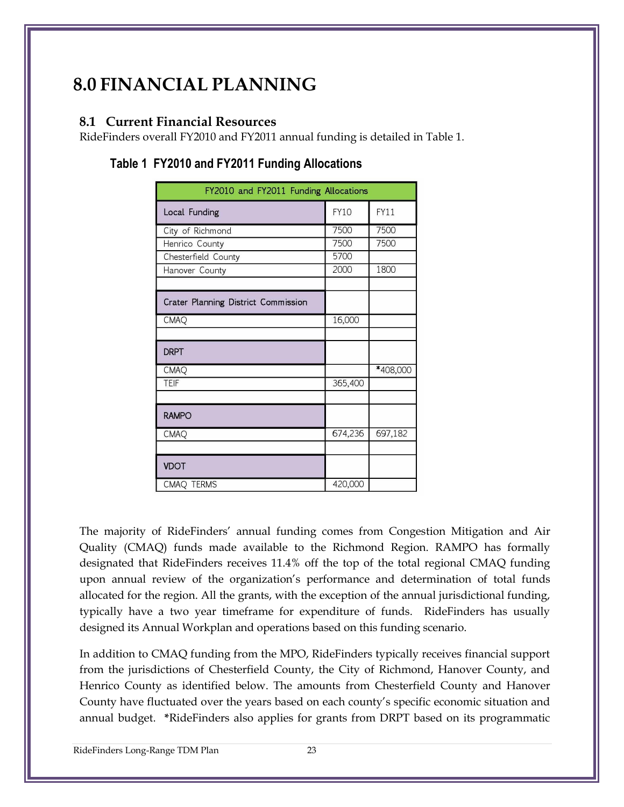# **8.0 FINANCIAL PLANNING**

#### **8.1 Current Financial Resources**

RideFinders overall FY2010 and FY2011 annual funding is detailed in Table 1.

| FY2010 and FY2011 Funding Allocations |             |             |  |  |  |  |
|---------------------------------------|-------------|-------------|--|--|--|--|
| Local Funding                         | <b>FY10</b> | <b>FY11</b> |  |  |  |  |
| City of Richmond                      | 7500        | 7500        |  |  |  |  |
| Henrico County                        | 7500        | 7500        |  |  |  |  |
| Chesterfield County                   | 5700        |             |  |  |  |  |
| Hanover County                        | 2000        | 1800        |  |  |  |  |
|                                       |             |             |  |  |  |  |
| Crater Planning District Commission   |             |             |  |  |  |  |
| CMAQ                                  | 16,000      |             |  |  |  |  |
|                                       |             |             |  |  |  |  |
| <b>DRPT</b>                           |             |             |  |  |  |  |
| CMAQ                                  |             | *408,000    |  |  |  |  |
| <b>TEIF</b>                           | 365,400     |             |  |  |  |  |
|                                       |             |             |  |  |  |  |
| <b>RAMPO</b>                          |             |             |  |  |  |  |
| CMAQ                                  | 674,236     | 697,182     |  |  |  |  |
|                                       |             |             |  |  |  |  |
| <b>VDOT</b>                           |             |             |  |  |  |  |
| CMAQ TERMS                            | 420,000     |             |  |  |  |  |

# **Table 1 FY2010 and FY2011 Funding Allocations**

The majority of RideFinders' annual funding comes from Congestion Mitigation and Air Quality (CMAQ) funds made available to the Richmond Region. RAMPO has formally designated that RideFinders receives 11.4% off the top of the total regional CMAQ funding upon annual review of the organization's performance and determination of total funds allocated for the region. All the grants, with the exception of the annual jurisdictional funding, typically have a two year timeframe for expenditure of funds. RideFinders has usually designed its Annual Workplan and operations based on this funding scenario.

In addition to CMAQ funding from the MPO, RideFinders typically receives financial support from the jurisdictions of Chesterfield County, the City of Richmond, Hanover County, and Henrico County as identified below. The amounts from Chesterfield County and Hanover County have fluctuated over the years based on each county's specific economic situation and annual budget. **\***RideFinders also applies for grants from DRPT based on its programmatic

RideFinders Long-Range TDM Plan 23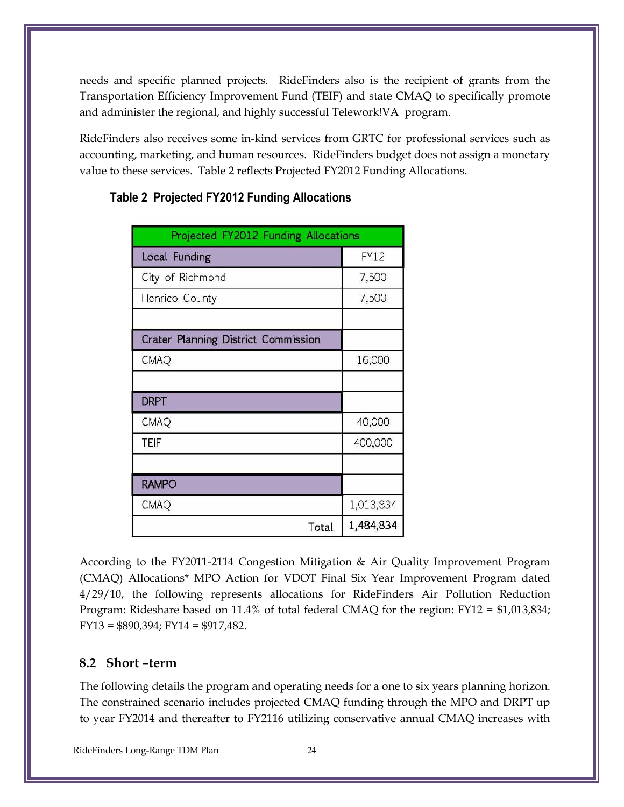needs and specific planned projects. RideFinders also is the recipient of grants from the Transportation Efficiency Improvement Fund (TEIF) and state CMAQ to specifically promote and administer the regional, and highly successful Telework!VA program.

RideFinders also receives some in-kind services from GRTC for professional services such as accounting, marketing, and human resources. RideFinders budget does not assign a monetary value to these services. Table 2 reflects Projected FY2012 Funding Allocations.

| Projected FY2012 Funding Allocations |             |  |  |  |
|--------------------------------------|-------------|--|--|--|
| Local Funding                        | <b>FY12</b> |  |  |  |
| City of Richmond                     | 7,500       |  |  |  |
| Henrico County                       | 7,500       |  |  |  |
|                                      |             |  |  |  |
| Crater Planning District Commission  |             |  |  |  |
| <b>CMAQ</b>                          | 16,000      |  |  |  |
|                                      |             |  |  |  |
| <b>DRPT</b>                          |             |  |  |  |
| <b>CMAQ</b>                          | 40,000      |  |  |  |
| <b>TEIF</b>                          | 400,000     |  |  |  |
|                                      |             |  |  |  |
| <b>RAMPO</b>                         |             |  |  |  |
| <b>CMAQ</b>                          | 1,013,834   |  |  |  |
| Total                                | 1,484,834   |  |  |  |

## **Table 2 Projected FY2012 Funding Allocations**

According to the FY2011-2114 Congestion Mitigation & Air Quality Improvement Program (CMAQ) Allocations\* MPO Action for VDOT Final Six Year Improvement Program dated 4/29/10, the following represents allocations for RideFinders Air Pollution Reduction Program: Rideshare based on 11.4% of total federal CMAQ for the region: FY12 = \$1,013,834; FY13 = \$890,394; FY14 = \$917,482.

## **8.2 Short –term**

The following details the program and operating needs for a one to six years planning horizon. The constrained scenario includes projected CMAQ funding through the MPO and DRPT up to year FY2014 and thereafter to FY2116 utilizing conservative annual CMAQ increases with

RideFinders Long-Range TDM Plan 24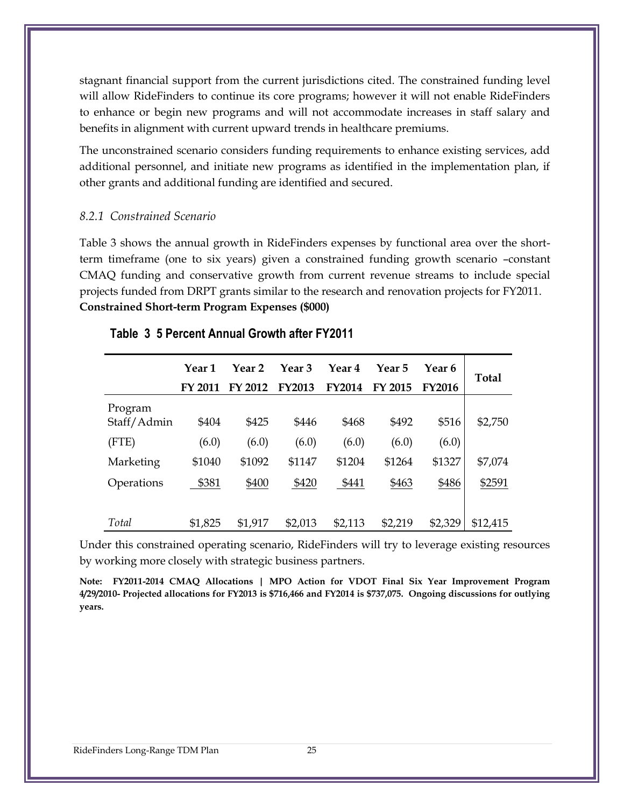stagnant financial support from the current jurisdictions cited. The constrained funding level will allow RideFinders to continue its core programs; however it will not enable RideFinders to enhance or begin new programs and will not accommodate increases in staff salary and benefits in alignment with current upward trends in healthcare premiums.

The unconstrained scenario considers funding requirements to enhance existing services, add additional personnel, and initiate new programs as identified in the implementation plan, if other grants and additional funding are identified and secured.

#### *8.2.1 Constrained Scenario*

Table 3 shows the annual growth in RideFinders expenses by functional area over the shortterm timeframe (one to six years) given a constrained funding growth scenario –constant CMAQ funding and conservative growth from current revenue streams to include special projects funded from DRPT grants similar to the research and renovation projects for FY2011. **Constrained Short-term Program Expenses (\$000)**

|                        | <b>Year 1</b> | Year <sub>2</sub> | Year <sub>3</sub> | Year 4        | Year 5  | Year 6        |              |  |
|------------------------|---------------|-------------------|-------------------|---------------|---------|---------------|--------------|--|
|                        | FY 2011       | FY 2012           | <b>FY2013</b>     | <b>FY2014</b> | FY 2015 | <b>FY2016</b> | <b>Total</b> |  |
| Program<br>Staff/Admin | \$404         | \$425             | \$446             | \$468         | \$492   | \$516         | \$2,750      |  |
| (FTE)                  | (6.0)         | (6.0)             | (6.0)             | (6.0)         | (6.0)   | (6.0)         |              |  |
| Marketing              | \$1040        | \$1092            | \$1147            | \$1204        | \$1264  | \$1327        | \$7,074      |  |
| Operations             | \$381         | \$400             | \$420             | \$441         | \$463   | \$486         | \$2591       |  |
|                        |               |                   |                   |               |         |               |              |  |
| Total                  | \$1,825       | \$1,917           | \$2,013           | \$2,113       | \$2,219 | \$2,329       | \$12,415     |  |

#### **Table 3 5 Percent Annual Growth after FY2011**

Under this constrained operating scenario, RideFinders will try to leverage existing resources by working more closely with strategic business partners.

**Note: FY2011-2014 CMAQ Allocations | MPO Action for VDOT Final Six Year Improvement Program 4/29/2010- Projected allocations for FY2013 is \$716,466 and FY2014 is \$737,075. Ongoing discussions for outlying years.**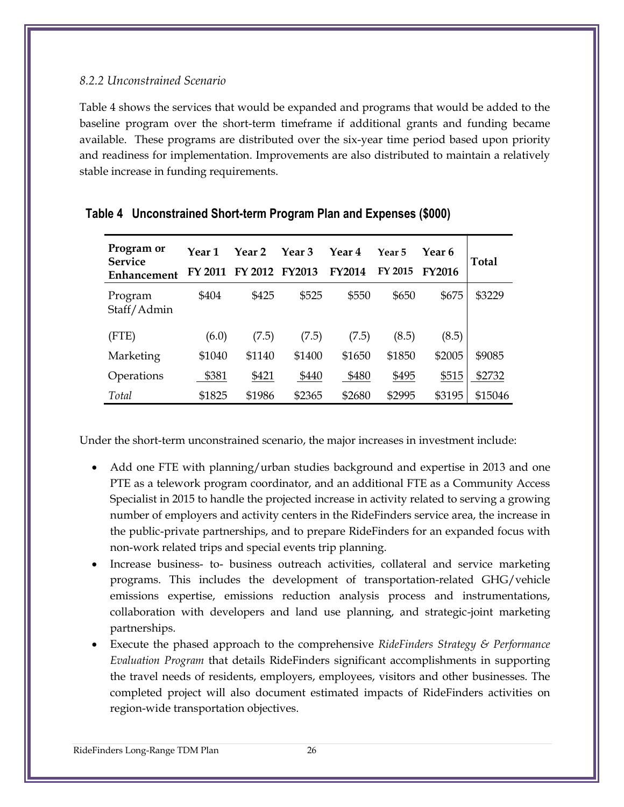#### *8.2.2 Unconstrained Scenario*

Table 4 shows the services that would be expanded and programs that would be added to the baseline program over the short-term timeframe if additional grants and funding became available. These programs are distributed over the six-year time period based upon priority and readiness for implementation. Improvements are also distributed to maintain a relatively stable increase in funding requirements.

| Program or<br><b>Service</b><br>Enhancement | Year 1<br>FY 2011 | Year 2<br>FY 2012 | Year <sub>3</sub><br><b>FY2013</b> | Year <sub>4</sub><br><b>FY2014</b> | Year 5<br>FY 2015 | Year 6<br><b>FY2016</b> | <b>Total</b> |
|---------------------------------------------|-------------------|-------------------|------------------------------------|------------------------------------|-------------------|-------------------------|--------------|
| Program<br>Staff/Admin                      | \$404             | \$425             | \$525                              | \$550                              | \$650             | \$675                   | \$3229       |
| (FTE)                                       | (6.0)             | (7.5)             | (7.5)                              | (7.5)                              | (8.5)             | (8.5)                   |              |
| Marketing                                   | \$1040            | \$1140            | \$1400                             | \$1650                             | \$1850            | \$2005                  | \$9085       |
| Operations                                  | \$381             | \$421             | \$440                              | \$480                              | \$495             | \$515                   | \$2732       |
| Total                                       | \$1825            | \$1986            | \$2365                             | \$2680                             | \$2995            | \$3195                  | \$15046      |

#### **Table 4 Unconstrained Short-term Program Plan and Expenses (\$000)**

Under the short-term unconstrained scenario, the major increases in investment include:

- Add one FTE with planning/urban studies background and expertise in 2013 and one PTE as a telework program coordinator, and an additional FTE as a Community Access Specialist in 2015 to handle the projected increase in activity related to serving a growing number of employers and activity centers in the RideFinders service area, the increase in the public-private partnerships, and to prepare RideFinders for an expanded focus with non-work related trips and special events trip planning.
- Increase business- to- business outreach activities, collateral and service marketing programs. This includes the development of transportation-related GHG/vehicle emissions expertise, emissions reduction analysis process and instrumentations, collaboration with developers and land use planning, and strategic-joint marketing partnerships.
- Execute the phased approach to the comprehensive *RideFinders Strategy & Performance Evaluation Program* that details RideFinders significant accomplishments in supporting the travel needs of residents, employers, employees, visitors and other businesses. The completed project will also document estimated impacts of RideFinders activities on region-wide transportation objectives.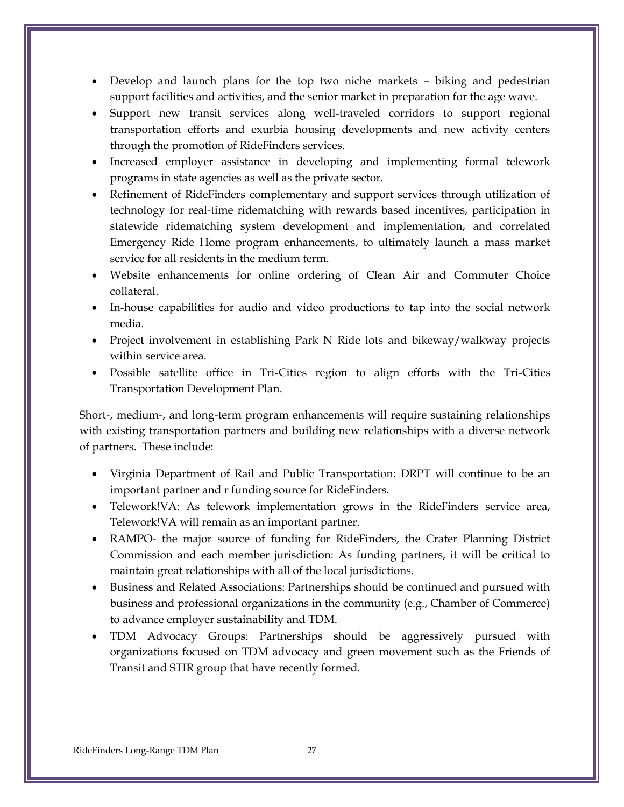- Develop and launch plans for the top two niche markets biking and pedestrian support facilities and activities, and the senior market in preparation for the age wave.
- Support new transit services along well-traveled corridors to support regional transportation efforts and exurbia housing developments and new activity centers through the promotion of RideFinders services.
- Increased employer assistance in developing and implementing formal telework programs in state agencies as well as the private sector.
- Refinement of RideFinders complementary and support services through utilization of technology for real-time ridematching with rewards based incentives, participation in statewide ridematching system development and implementation, and correlated Emergency Ride Home program enhancements, to ultimately launch a mass market service for all residents in the medium term.
- Website enhancements for online ordering of Clean Air and Commuter Choice collateral.
- In-house capabilities for audio and video productions to tap into the social network media.
- Project involvement in establishing Park N Ride lots and bikeway/walkway projects within service area.
- Possible satellite office in Tri-Cities region to align efforts with the Tri-Cities Transportation Development Plan.

Short-, medium-, and long-term program enhancements will require sustaining relationships with existing transportation partners and building new relationships with a diverse network of partners. These include:

- Virginia Department of Rail and Public Transportation: DRPT will continue to be an important partner and r funding source for RideFinders.
- Telework!VA: As telework implementation grows in the RideFinders service area, Telework!VA will remain as an important partner.
- RAMPO- the major source of funding for RideFinders, the Crater Planning District Commission and each member jurisdiction: As funding partners, it will be critical to maintain great relationships with all of the local jurisdictions.
- Business and Related Associations: Partnerships should be continued and pursued with business and professional organizations in the community (e.g., Chamber of Commerce) to advance employer sustainability and TDM.
- TDM Advocacy Groups: Partnerships should be aggressively pursued with organizations focused on TDM advocacy and green movement such as the Friends of Transit and STIR group that have recently formed.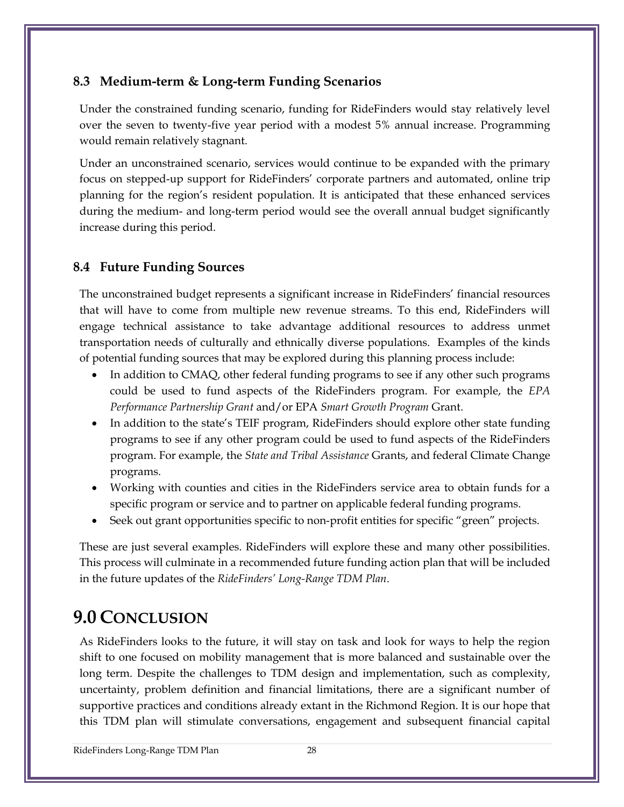## **8.3 Medium-term & Long-term Funding Scenarios**

Under the constrained funding scenario, funding for RideFinders would stay relatively level over the seven to twenty-five year period with a modest 5% annual increase. Programming would remain relatively stagnant.

Under an unconstrained scenario, services would continue to be expanded with the primary focus on stepped-up support for RideFinders' corporate partners and automated, online trip planning for the region's resident population. It is anticipated that these enhanced services during the medium- and long-term period would see the overall annual budget significantly increase during this period.

## **8.4 Future Funding Sources**

The unconstrained budget represents a significant increase in RideFinders' financial resources that will have to come from multiple new revenue streams. To this end, RideFinders will engage technical assistance to take advantage additional resources to address unmet transportation needs of culturally and ethnically diverse populations. Examples of the kinds of potential funding sources that may be explored during this planning process include:

- In addition to CMAQ, other federal funding programs to see if any other such programs could be used to fund aspects of the RideFinders program. For example, the *EPA Performance Partnership Grant* and/or EPA *Smart Growth Program* Grant.
- In addition to the state's TEIF program, RideFinders should explore other state funding programs to see if any other program could be used to fund aspects of the RideFinders program. For example, the *State and Tribal Assistance* Grants, and federal Climate Change programs.
- Working with counties and cities in the RideFinders service area to obtain funds for a specific program or service and to partner on applicable federal funding programs.
- Seek out grant opportunities specific to non-profit entities for specific "green" projects.

These are just several examples. RideFinders will explore these and many other possibilities. This process will culminate in a recommended future funding action plan that will be included in the future updates of the *RideFinders' Long-Range TDM Plan*.

# **9.0 CONCLUSION**

As RideFinders looks to the future, it will stay on task and look for ways to help the region shift to one focused on mobility management that is more balanced and sustainable over the long term. Despite the challenges to TDM design and implementation, such as complexity, uncertainty, problem definition and financial limitations, there are a significant number of supportive practices and conditions already extant in the Richmond Region. It is our hope that this TDM plan will stimulate conversations, engagement and subsequent financial capital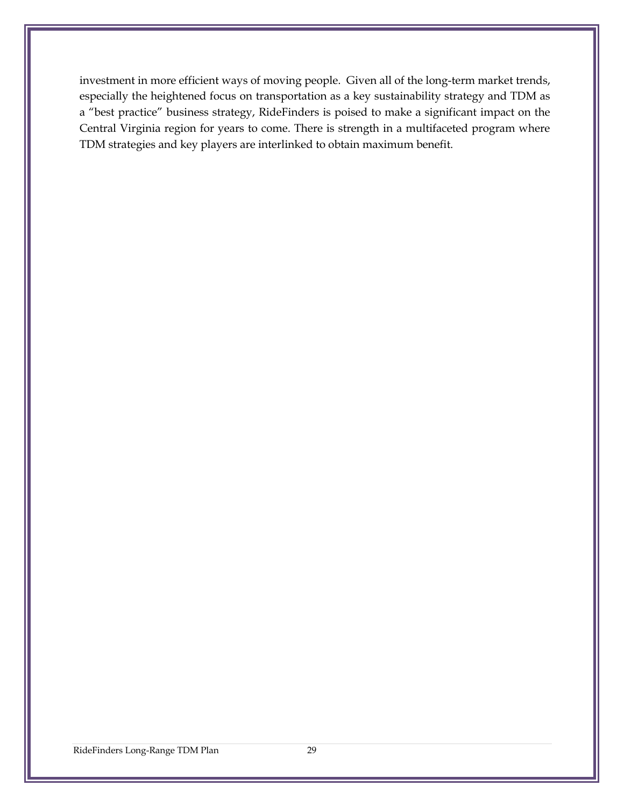investment in more efficient ways of moving people. Given all of the long-term market trends, especially the heightened focus on transportation as a key sustainability strategy and TDM as a "best practice" business strategy, RideFinders is poised to make a significant impact on the Central Virginia region for years to come. There is strength in a multifaceted program where TDM strategies and key players are interlinked to obtain maximum benefit.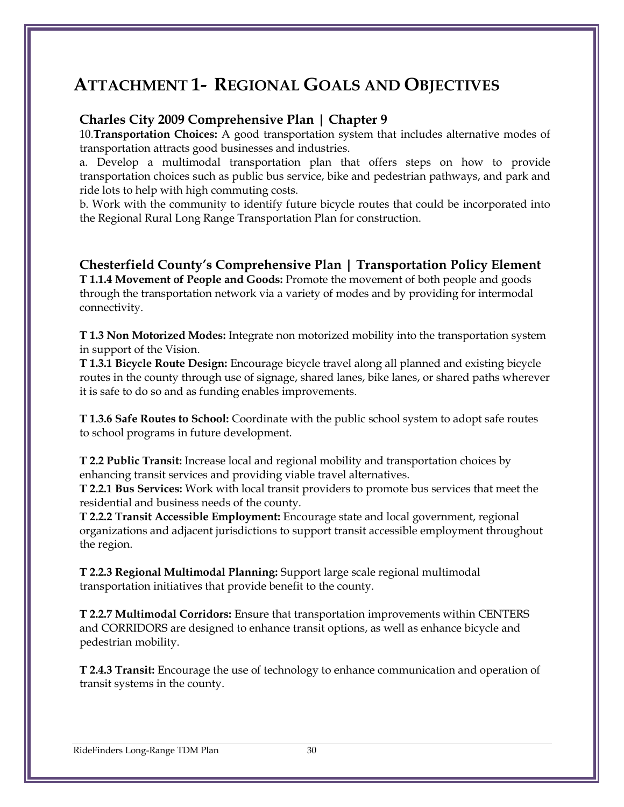# **ATTACHMENT 1- REGIONAL GOALS AND OBJECTIVES**

#### **Charles City 2009 Comprehensive Plan | Chapter 9**

10.**Transportation Choices:** A good transportation system that includes alternative modes of transportation attracts good businesses and industries.

a. Develop a multimodal transportation plan that offers steps on how to provide transportation choices such as public bus service, bike and pedestrian pathways, and park and ride lots to help with high commuting costs.

b. Work with the community to identify future bicycle routes that could be incorporated into the Regional Rural Long Range Transportation Plan for construction.

**Chesterfield County's Comprehensive Plan | Transportation Policy Element T 1.1.4 Movement of People and Goods:** Promote the movement of both people and goods through the transportation network via a variety of modes and by providing for intermodal connectivity.

**T 1.3 Non Motorized Modes:** Integrate non motorized mobility into the transportation system in support of the Vision.

**T 1.3.1 Bicycle Route Design:** Encourage bicycle travel along all planned and existing bicycle routes in the county through use of signage, shared lanes, bike lanes, or shared paths wherever it is safe to do so and as funding enables improvements.

**T 1.3.6 Safe Routes to School:** Coordinate with the public school system to adopt safe routes to school programs in future development.

**T 2.2 Public Transit:** Increase local and regional mobility and transportation choices by enhancing transit services and providing viable travel alternatives.

**T 2.2.1 Bus Services:** Work with local transit providers to promote bus services that meet the residential and business needs of the county.

**T 2.2.2 Transit Accessible Employment:** Encourage state and local government, regional organizations and adjacent jurisdictions to support transit accessible employment throughout the region.

**T 2.2.3 Regional Multimodal Planning:** Support large scale regional multimodal transportation initiatives that provide benefit to the county.

**T 2.2.7 Multimodal Corridors:** Ensure that transportation improvements within CENTERS and CORRIDORS are designed to enhance transit options, as well as enhance bicycle and pedestrian mobility.

**T 2.4.3 Transit:** Encourage the use of technology to enhance communication and operation of transit systems in the county.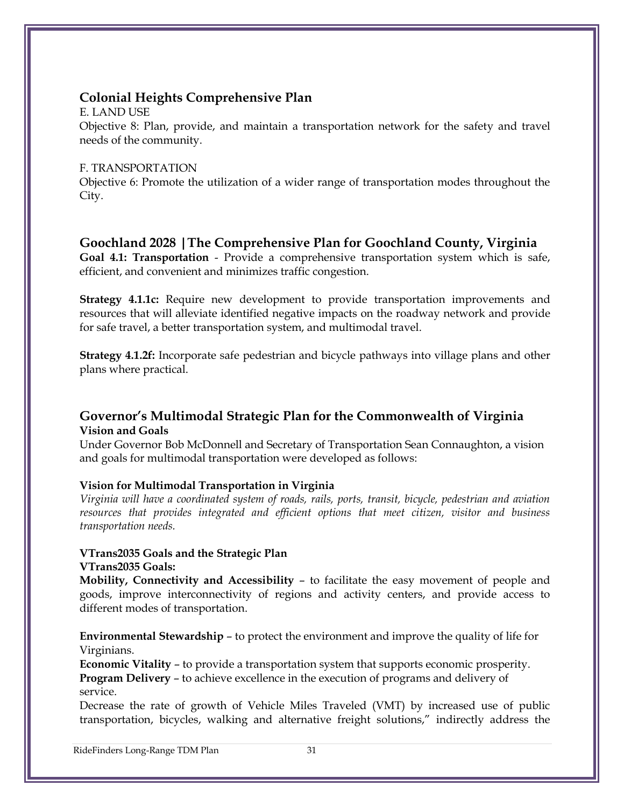## **Colonial Heights Comprehensive Plan**

E. LAND USE Objective 8: Plan, provide, and maintain a transportation network for the safety and travel needs of the community.

#### F. TRANSPORTATION

Objective 6: Promote the utilization of a wider range of transportation modes throughout the City.

#### **Goochland 2028 |The Comprehensive Plan for Goochland County, Virginia**

**Goal 4.1: Transportation** - Provide a comprehensive transportation system which is safe, efficient, and convenient and minimizes traffic congestion.

**Strategy 4.1.1c:** Require new development to provide transportation improvements and resources that will alleviate identified negative impacts on the roadway network and provide for safe travel, a better transportation system, and multimodal travel.

**Strategy 4.1.2f:** Incorporate safe pedestrian and bicycle pathways into village plans and other plans where practical.

#### **Governor's Multimodal Strategic Plan for the Commonwealth of Virginia Vision and Goals**

Under Governor Bob McDonnell and Secretary of Transportation Sean Connaughton, a vision and goals for multimodal transportation were developed as follows:

#### **Vision for Multimodal Transportation in Virginia**

*Virginia will have a coordinated system of roads, rails, ports, transit, bicycle, pedestrian and aviation resources that provides integrated and efficient options that meet citizen, visitor and business transportation needs.*

#### **VTrans2035 Goals and the Strategic Plan**

#### **VTrans2035 Goals:**

**Mobility, Connectivity and Accessibility** – to facilitate the easy movement of people and goods, improve interconnectivity of regions and activity centers, and provide access to different modes of transportation.

**Environmental Stewardship** – to protect the environment and improve the quality of life for Virginians.

**Economic Vitality** – to provide a transportation system that supports economic prosperity. **Program Delivery** – to achieve excellence in the execution of programs and delivery of service.

Decrease the rate of growth of Vehicle Miles Traveled (VMT) by increased use of public transportation, bicycles, walking and alternative freight solutions," indirectly address the

RideFinders Long-Range TDM Plan 31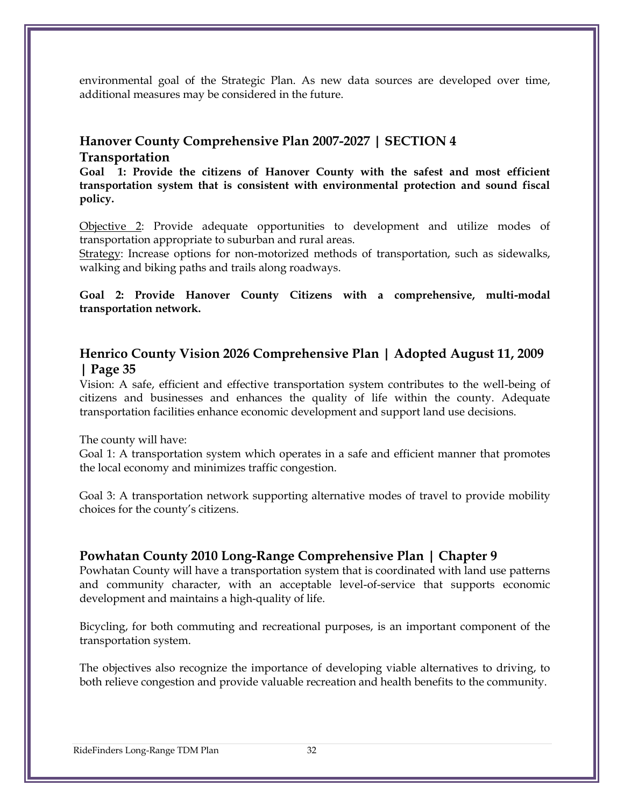environmental goal of the Strategic Plan. As new data sources are developed over time, additional measures may be considered in the future.

#### **Hanover County Comprehensive Plan 2007-2027 | SECTION 4 Transportation**

**Goal 1: Provide the citizens of Hanover County with the safest and most efficient transportation system that is consistent with environmental protection and sound fiscal policy.**

Objective 2: Provide adequate opportunities to development and utilize modes of transportation appropriate to suburban and rural areas.

Strategy: Increase options for non-motorized methods of transportation, such as sidewalks, walking and biking paths and trails along roadways.

**Goal 2: Provide Hanover County Citizens with a comprehensive, multi-modal transportation network.**

## **Henrico County Vision 2026 Comprehensive Plan | Adopted August 11, 2009 | Page 35**

Vision: A safe, efficient and effective transportation system contributes to the well-being of citizens and businesses and enhances the quality of life within the county. Adequate transportation facilities enhance economic development and support land use decisions.

The county will have:

Goal 1: A transportation system which operates in a safe and efficient manner that promotes the local economy and minimizes traffic congestion.

Goal 3: A transportation network supporting alternative modes of travel to provide mobility choices for the county's citizens.

#### **Powhatan County 2010 Long-Range Comprehensive Plan | Chapter 9**

Powhatan County will have a transportation system that is coordinated with land use patterns and community character, with an acceptable level-of-service that supports economic development and maintains a high-quality of life.

Bicycling, for both commuting and recreational purposes, is an important component of the transportation system.

The objectives also recognize the importance of developing viable alternatives to driving, to both relieve congestion and provide valuable recreation and health benefits to the community.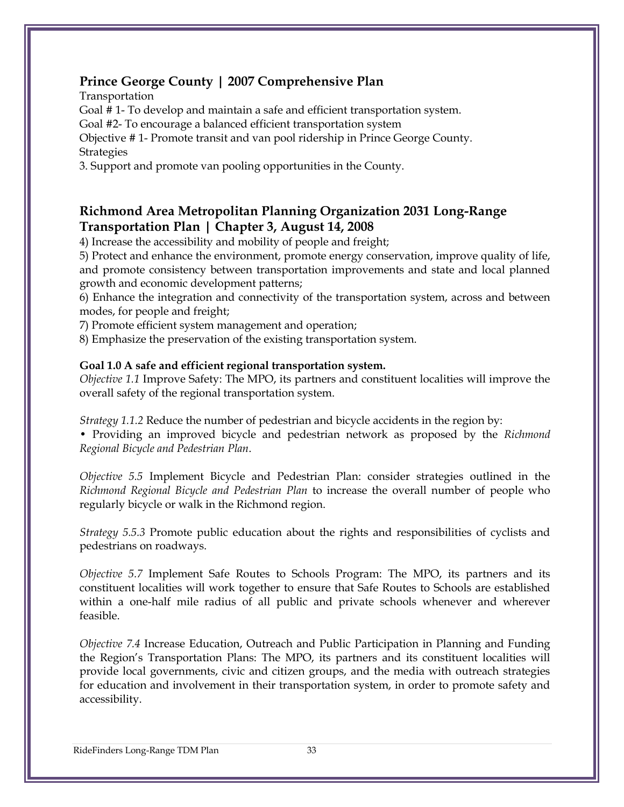## **Prince George County | 2007 Comprehensive Plan**

Transportation

Goal # 1- To develop and maintain a safe and efficient transportation system.

Goal #2- To encourage a balanced efficient transportation system

Objective # 1- Promote transit and van pool ridership in Prince George County. **Strategies** 

3. Support and promote van pooling opportunities in the County.

#### **Richmond Area Metropolitan Planning Organization 2031 Long-Range Transportation Plan | Chapter 3, August 14, 2008**

4) Increase the accessibility and mobility of people and freight;

5) Protect and enhance the environment, promote energy conservation, improve quality of life, and promote consistency between transportation improvements and state and local planned growth and economic development patterns;

6) Enhance the integration and connectivity of the transportation system, across and between modes, for people and freight;

7) Promote efficient system management and operation;

8) Emphasize the preservation of the existing transportation system.

#### **Goal 1.0 A safe and efficient regional transportation system.**

*Objective 1.1* Improve Safety: The MPO, its partners and constituent localities will improve the overall safety of the regional transportation system.

*Strategy 1.1.2* Reduce the number of pedestrian and bicycle accidents in the region by:

• Providing an improved bicycle and pedestrian network as proposed by the *Richmond Regional Bicycle and Pedestrian Plan*.

*Objective 5.5* Implement Bicycle and Pedestrian Plan: consider strategies outlined in the *Richmond Regional Bicycle and Pedestrian Plan* to increase the overall number of people who regularly bicycle or walk in the Richmond region.

*Strategy 5.5.3* Promote public education about the rights and responsibilities of cyclists and pedestrians on roadways.

*Objective 5.7* Implement Safe Routes to Schools Program: The MPO, its partners and its constituent localities will work together to ensure that Safe Routes to Schools are established within a one-half mile radius of all public and private schools whenever and wherever feasible.

*Objective 7.4* Increase Education, Outreach and Public Participation in Planning and Funding the Region's Transportation Plans: The MPO, its partners and its constituent localities will provide local governments, civic and citizen groups, and the media with outreach strategies for education and involvement in their transportation system, in order to promote safety and accessibility.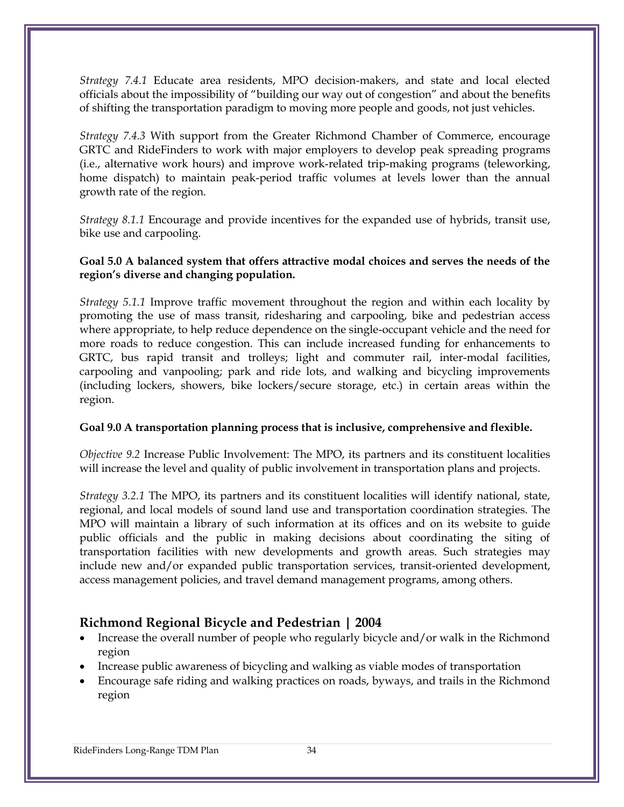*Strategy 7.4.1* Educate area residents, MPO decision-makers, and state and local elected officials about the impossibility of "building our way out of congestion" and about the benefits of shifting the transportation paradigm to moving more people and goods, not just vehicles.

*Strategy 7.4.3* With support from the Greater Richmond Chamber of Commerce, encourage GRTC and RideFinders to work with major employers to develop peak spreading programs (i.e., alternative work hours) and improve work-related trip-making programs (teleworking, home dispatch) to maintain peak-period traffic volumes at levels lower than the annual growth rate of the region.

*Strategy 8.1.1* Encourage and provide incentives for the expanded use of hybrids, transit use, bike use and carpooling.

#### **Goal 5.0 A balanced system that offers attractive modal choices and serves the needs of the region's diverse and changing population.**

*Strategy 5.1.1* Improve traffic movement throughout the region and within each locality by promoting the use of mass transit, ridesharing and carpooling, bike and pedestrian access where appropriate, to help reduce dependence on the single-occupant vehicle and the need for more roads to reduce congestion. This can include increased funding for enhancements to GRTC, bus rapid transit and trolleys; light and commuter rail, inter-modal facilities, carpooling and vanpooling; park and ride lots, and walking and bicycling improvements (including lockers, showers, bike lockers/secure storage, etc.) in certain areas within the region.

#### **Goal 9.0 A transportation planning process that is inclusive, comprehensive and flexible.**

*Objective 9.2* Increase Public Involvement: The MPO, its partners and its constituent localities will increase the level and quality of public involvement in transportation plans and projects.

*Strategy 3.2.1* The MPO, its partners and its constituent localities will identify national, state, regional, and local models of sound land use and transportation coordination strategies. The MPO will maintain a library of such information at its offices and on its website to guide public officials and the public in making decisions about coordinating the siting of transportation facilities with new developments and growth areas. Such strategies may include new and/or expanded public transportation services, transit-oriented development, access management policies, and travel demand management programs, among others.

## **Richmond Regional Bicycle and Pedestrian | 2004**

- Increase the overall number of people who regularly bicycle and/or walk in the Richmond region
- Increase public awareness of bicycling and walking as viable modes of transportation
- Encourage safe riding and walking practices on roads, byways, and trails in the Richmond region